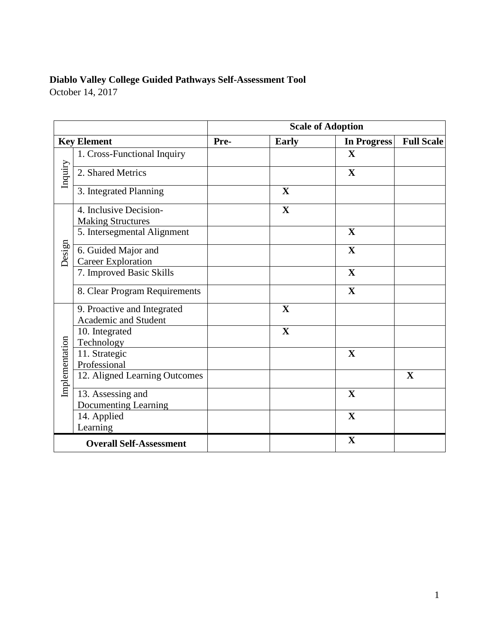# **Diablo Valley College Guided Pathways Self-Assessment Tool**

October 14, 2017

| <b>Scale of Adoption</b> |                                                        |      |              |                    |                   |
|--------------------------|--------------------------------------------------------|------|--------------|--------------------|-------------------|
| <b>Key Element</b>       |                                                        | Pre- | <b>Early</b> | <b>In Progress</b> | <b>Full Scale</b> |
|                          | 1. Cross-Functional Inquiry                            |      |              | $\mathbf X$        |                   |
| Inquiry                  | 2. Shared Metrics                                      |      |              | X                  |                   |
|                          | 3. Integrated Planning                                 |      | $\mathbf X$  |                    |                   |
|                          | 4. Inclusive Decision-<br><b>Making Structures</b>     |      | $\mathbf X$  |                    |                   |
|                          | 5. Intersegmental Alignment                            |      |              | $\mathbf X$        |                   |
| Design                   | 6. Guided Major and<br><b>Career Exploration</b>       |      |              | $\mathbf X$        |                   |
|                          | 7. Improved Basic Skills                               |      |              | $\mathbf X$        |                   |
|                          | 8. Clear Program Requirements                          |      |              | $\mathbf X$        |                   |
|                          | 9. Proactive and Integrated<br>Academic and Student    |      | $\mathbf{X}$ |                    |                   |
|                          | 10. Integrated<br>Technology                           |      | $\mathbf X$  |                    |                   |
| Implementation           | 11. Strategic<br>Professional                          |      |              | $\mathbf X$        |                   |
|                          | 12. Aligned Learning Outcomes                          |      |              |                    | $\mathbf X$       |
|                          | 13. Assessing and                                      |      |              | $\mathbf X$        |                   |
|                          | <b>Documenting Learning</b><br>14. Applied<br>Learning |      |              | $\mathbf X$        |                   |
|                          | <b>Overall Self-Assessment</b>                         |      |              | $\mathbf X$        |                   |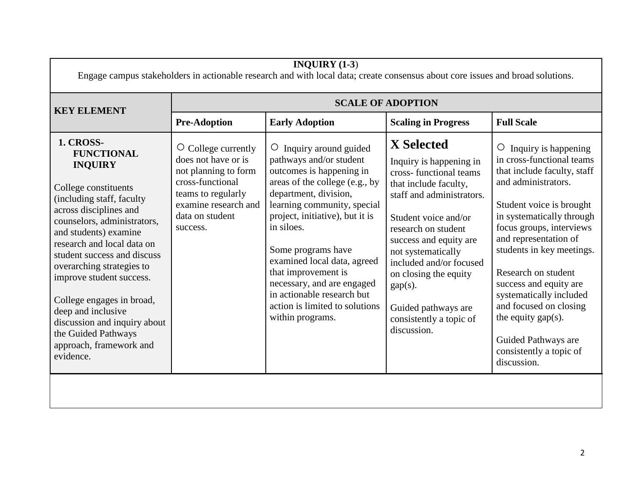| <b>SCALE OF ADOPTION</b><br><b>KEY ELEMENT</b><br><b>Pre-Adoption</b><br><b>Early Adoption</b><br><b>Scaling in Progress</b><br><b>Full Scale</b><br>1. CROSS-<br><b>X</b> Selected<br>$\circ$ College currently<br>Inquiry around guided<br>Inquiry is happening<br>$\circ$<br>$\circ$<br><b>FUNCTIONAL</b><br>in cross-functional teams<br>does not have or is<br>pathways and/or student<br>Inquiry is happening in<br><b>INQUIRY</b><br>outcomes is happening in<br>not planning to form<br>that include faculty, staff<br>cross-functional teams<br>cross-functional<br>areas of the college (e.g., by<br>and administrators.<br>that include faculty,<br>College constituents<br>teams to regularly<br>department, division,<br>staff and administrators.<br>(including staff, faculty<br>examine research and<br>learning community, special<br>Student voice is brought<br>across disciplines and<br>project, initiative), but it is<br>in systematically through<br>data on student<br>Student voice and/or<br>counselors, administrators,<br>in siloes.<br>focus groups, interviews<br>success.<br>research on student<br>and students) examine<br>and representation of<br>success and equity are<br>research and local data on<br>students in key meetings.<br>Some programs have<br>not systematically<br>student success and discuss<br>examined local data, agreed<br>included and/or focused<br>overarching strategies to<br>that improvement is<br>Research on student<br>on closing the equity<br>improve student success.<br>necessary, and are engaged<br>success and equity are<br>$gap(s)$ .<br>in actionable research but<br>systematically included<br>College engages in broad,<br>action is limited to solutions<br>and focused on closing<br>Guided pathways are<br>deep and inclusive<br>within programs.<br>the equity $gap(s)$ .<br>consistently a topic of<br>discussion and inquiry about<br>discussion.<br>the Guided Pathways<br>Guided Pathways are | INQUIRY $(1-3)$<br>Engage campus stakeholders in actionable research and with local data; create consensus about core issues and broad solutions. |  |  |  |                         |
|----------------------------------------------------------------------------------------------------------------------------------------------------------------------------------------------------------------------------------------------------------------------------------------------------------------------------------------------------------------------------------------------------------------------------------------------------------------------------------------------------------------------------------------------------------------------------------------------------------------------------------------------------------------------------------------------------------------------------------------------------------------------------------------------------------------------------------------------------------------------------------------------------------------------------------------------------------------------------------------------------------------------------------------------------------------------------------------------------------------------------------------------------------------------------------------------------------------------------------------------------------------------------------------------------------------------------------------------------------------------------------------------------------------------------------------------------------------------------------------------------------------------------------------------------------------------------------------------------------------------------------------------------------------------------------------------------------------------------------------------------------------------------------------------------------------------------------------------------------------------------------------------------------------------------------------------------------------------------------------|---------------------------------------------------------------------------------------------------------------------------------------------------|--|--|--|-------------------------|
|                                                                                                                                                                                                                                                                                                                                                                                                                                                                                                                                                                                                                                                                                                                                                                                                                                                                                                                                                                                                                                                                                                                                                                                                                                                                                                                                                                                                                                                                                                                                                                                                                                                                                                                                                                                                                                                                                                                                                                                        |                                                                                                                                                   |  |  |  |                         |
|                                                                                                                                                                                                                                                                                                                                                                                                                                                                                                                                                                                                                                                                                                                                                                                                                                                                                                                                                                                                                                                                                                                                                                                                                                                                                                                                                                                                                                                                                                                                                                                                                                                                                                                                                                                                                                                                                                                                                                                        |                                                                                                                                                   |  |  |  |                         |
| evidence.<br>discussion.                                                                                                                                                                                                                                                                                                                                                                                                                                                                                                                                                                                                                                                                                                                                                                                                                                                                                                                                                                                                                                                                                                                                                                                                                                                                                                                                                                                                                                                                                                                                                                                                                                                                                                                                                                                                                                                                                                                                                               | approach, framework and                                                                                                                           |  |  |  | consistently a topic of |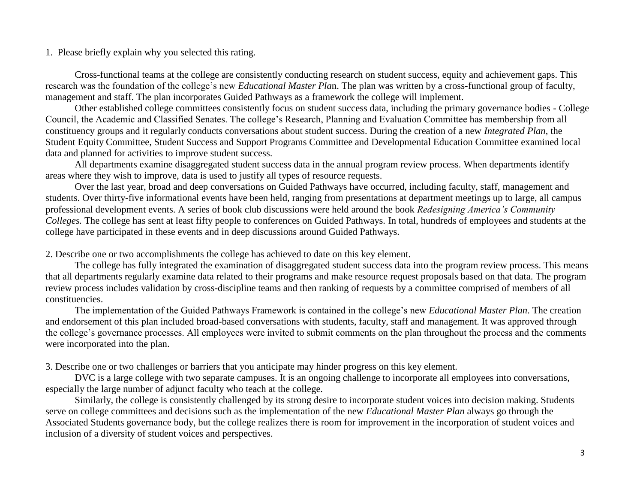Cross-functional teams at the college are consistently conducting research on student success, equity and achievement gaps. This research was the foundation of the college's new *Educational Master Pla*n. The plan was written by a cross-functional group of faculty, management and staff. The plan incorporates Guided Pathways as a framework the college will implement.

Other established college committees consistently focus on student success data, including the primary governance bodies - College Council, the Academic and Classified Senates. The college's Research, Planning and Evaluation Committee has membership from all constituency groups and it regularly conducts conversations about student success. During the creation of a new *Integrated Plan*, the Student Equity Committee, Student Success and Support Programs Committee and Developmental Education Committee examined local data and planned for activities to improve student success.

All departments examine disaggregated student success data in the annual program review process. When departments identify areas where they wish to improve, data is used to justify all types of resource requests.

Over the last year, broad and deep conversations on Guided Pathways have occurred, including faculty, staff, management and students. Over thirty-five informational events have been held, ranging from presentations at department meetings up to large, all campus professional development events. A series of book club discussions were held around the book *Redesigning America's Community Colleges.* The college has sent at least fifty people to conferences on Guided Pathways. In total, hundreds of employees and students at the college have participated in these events and in deep discussions around Guided Pathways.

2. Describe one or two accomplishments the college has achieved to date on this key element.

The college has fully integrated the examination of disaggregated student success data into the program review process. This means that all departments regularly examine data related to their programs and make resource request proposals based on that data. The program review process includes validation by cross-discipline teams and then ranking of requests by a committee comprised of members of all constituencies.

The implementation of the Guided Pathways Framework is contained in the college's new *Educational Master Plan*. The creation and endorsement of this plan included broad-based conversations with students, faculty, staff and management. It was approved through the college's governance processes. All employees were invited to submit comments on the plan throughout the process and the comments were incorporated into the plan.

3. Describe one or two challenges or barriers that you anticipate may hinder progress on this key element.

DVC is a large college with two separate campuses. It is an ongoing challenge to incorporate all employees into conversations, especially the large number of adjunct faculty who teach at the college.

Similarly, the college is consistently challenged by its strong desire to incorporate student voices into decision making. Students serve on college committees and decisions such as the implementation of the new *Educational Master Plan* always go through the Associated Students governance body, but the college realizes there is room for improvement in the incorporation of student voices and inclusion of a diversity of student voices and perspectives.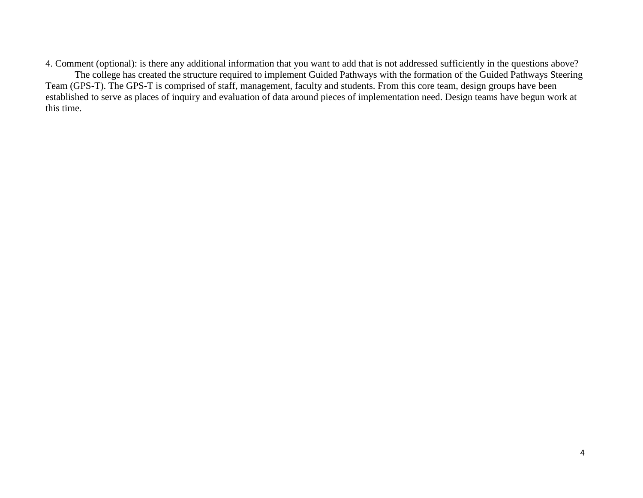4. Comment (optional): is there any additional information that you want to add that is not addressed sufficiently in the questions above? The college has created the structure required to implement Guided Pathways with the formation of the Guided Pathways Steering Team (GPS-T). The GPS-T is comprised of staff, management, faculty and students. From this core team, design groups have been established to serve as places of inquiry and evaluation of data around pieces of implementation need. Design teams have begun work at this time.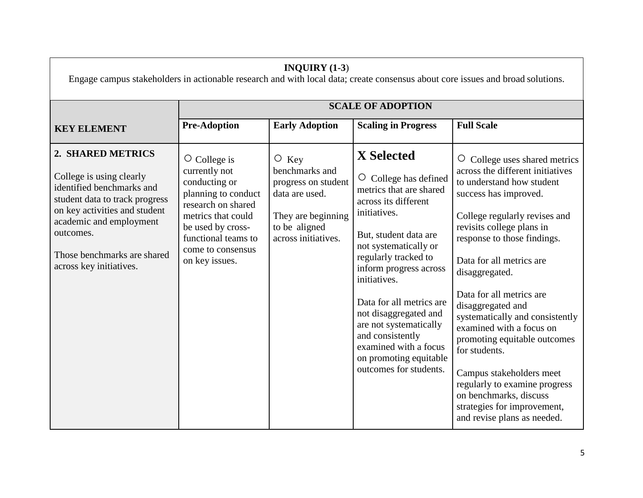| INQUIRY $(1-3)$<br>Engage campus stakeholders in actionable research and with local data; create consensus about core issues and broad solutions.                                                                                               |                                                                                                                                                                                                            |                                                                                                                                      |                                                                                                                                                                                                                                                                                                                                                                                                                     |                                                                                                                                                                                                                                                                                                                                                                                                                                                                                                                                                                                          |  |
|-------------------------------------------------------------------------------------------------------------------------------------------------------------------------------------------------------------------------------------------------|------------------------------------------------------------------------------------------------------------------------------------------------------------------------------------------------------------|--------------------------------------------------------------------------------------------------------------------------------------|---------------------------------------------------------------------------------------------------------------------------------------------------------------------------------------------------------------------------------------------------------------------------------------------------------------------------------------------------------------------------------------------------------------------|------------------------------------------------------------------------------------------------------------------------------------------------------------------------------------------------------------------------------------------------------------------------------------------------------------------------------------------------------------------------------------------------------------------------------------------------------------------------------------------------------------------------------------------------------------------------------------------|--|
|                                                                                                                                                                                                                                                 |                                                                                                                                                                                                            |                                                                                                                                      | <b>SCALE OF ADOPTION</b>                                                                                                                                                                                                                                                                                                                                                                                            |                                                                                                                                                                                                                                                                                                                                                                                                                                                                                                                                                                                          |  |
| <b>KEY ELEMENT</b>                                                                                                                                                                                                                              | <b>Pre-Adoption</b>                                                                                                                                                                                        | <b>Early Adoption</b>                                                                                                                | <b>Scaling in Progress</b>                                                                                                                                                                                                                                                                                                                                                                                          | <b>Full Scale</b>                                                                                                                                                                                                                                                                                                                                                                                                                                                                                                                                                                        |  |
| 2. SHARED METRICS<br>College is using clearly<br>identified benchmarks and<br>student data to track progress<br>on key activities and student<br>academic and employment<br>outcomes.<br>Those benchmarks are shared<br>across key initiatives. | $\circ$ College is<br>currently not<br>conducting or<br>planning to conduct<br>research on shared<br>metrics that could<br>be used by cross-<br>functional teams to<br>come to consensus<br>on key issues. | $\circ$ Key<br>benchmarks and<br>progress on student<br>data are used.<br>They are beginning<br>to be aligned<br>across initiatives. | X Selected<br>College has defined<br>$\circ$<br>metrics that are shared<br>across its different<br>initiatives.<br>But, student data are<br>not systematically or<br>regularly tracked to<br>inform progress across<br>initiatives.<br>Data for all metrics are<br>not disaggregated and<br>are not systematically<br>and consistently<br>examined with a focus<br>on promoting equitable<br>outcomes for students. | O College uses shared metrics<br>across the different initiatives<br>to understand how student<br>success has improved.<br>College regularly revises and<br>revisits college plans in<br>response to those findings.<br>Data for all metrics are<br>disaggregated.<br>Data for all metrics are<br>disaggregated and<br>systematically and consistently<br>examined with a focus on<br>promoting equitable outcomes<br>for students.<br>Campus stakeholders meet<br>regularly to examine progress<br>on benchmarks, discuss<br>strategies for improvement,<br>and revise plans as needed. |  |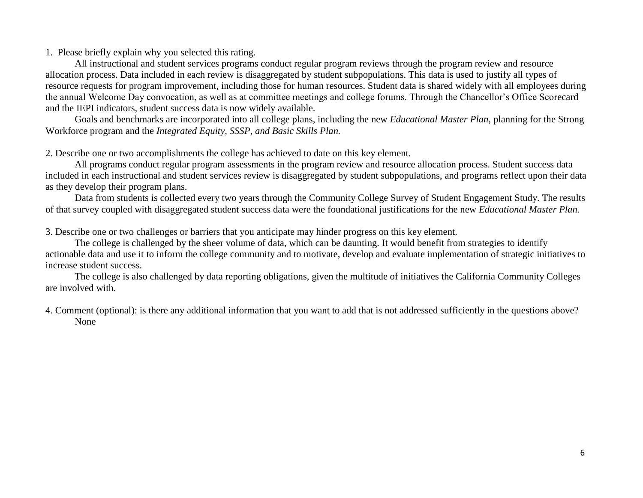All instructional and student services programs conduct regular program reviews through the program review and resource allocation process. Data included in each review is disaggregated by student subpopulations. This data is used to justify all types of resource requests for program improvement, including those for human resources. Student data is shared widely with all employees during the annual Welcome Day convocation, as well as at committee meetings and college forums. Through the Chancellor's Office Scorecard and the IEPI indicators, student success data is now widely available.

Goals and benchmarks are incorporated into all college plans, including the new *Educational Master Plan,* planning for the Strong Workforce program and the *Integrated Equity, SSSP, and Basic Skills Plan.*

2. Describe one or two accomplishments the college has achieved to date on this key element.

All programs conduct regular program assessments in the program review and resource allocation process. Student success data included in each instructional and student services review is disaggregated by student subpopulations, and programs reflect upon their data as they develop their program plans.

Data from students is collected every two years through the Community College Survey of Student Engagement Study. The results of that survey coupled with disaggregated student success data were the foundational justifications for the new *Educational Master Plan.*

3. Describe one or two challenges or barriers that you anticipate may hinder progress on this key element.

The college is challenged by the sheer volume of data, which can be daunting. It would benefit from strategies to identify actionable data and use it to inform the college community and to motivate, develop and evaluate implementation of strategic initiatives to increase student success.

The college is also challenged by data reporting obligations, given the multitude of initiatives the California Community Colleges are involved with.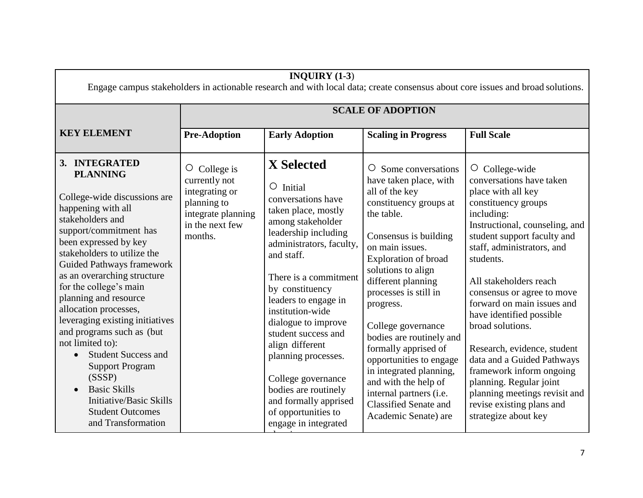| INQUIRY $(1-3)$<br>Engage campus stakeholders in actionable research and with local data; create consensus about core issues and broad solutions.                                                                                                                                                                                                                                                                                                                                                                                                                                                                 |                                                                                                                       |                                                                                                                                                                                                                                                                                                                                                                                                                                                                                |                                                                                                                                                                                                                                                                                                                                                                                                                                                                                                                 |                                                                                                                                                                                                                                                                                                                                                                                                                                                                                                                                                                         |
|-------------------------------------------------------------------------------------------------------------------------------------------------------------------------------------------------------------------------------------------------------------------------------------------------------------------------------------------------------------------------------------------------------------------------------------------------------------------------------------------------------------------------------------------------------------------------------------------------------------------|-----------------------------------------------------------------------------------------------------------------------|--------------------------------------------------------------------------------------------------------------------------------------------------------------------------------------------------------------------------------------------------------------------------------------------------------------------------------------------------------------------------------------------------------------------------------------------------------------------------------|-----------------------------------------------------------------------------------------------------------------------------------------------------------------------------------------------------------------------------------------------------------------------------------------------------------------------------------------------------------------------------------------------------------------------------------------------------------------------------------------------------------------|-------------------------------------------------------------------------------------------------------------------------------------------------------------------------------------------------------------------------------------------------------------------------------------------------------------------------------------------------------------------------------------------------------------------------------------------------------------------------------------------------------------------------------------------------------------------------|
|                                                                                                                                                                                                                                                                                                                                                                                                                                                                                                                                                                                                                   |                                                                                                                       |                                                                                                                                                                                                                                                                                                                                                                                                                                                                                | <b>SCALE OF ADOPTION</b>                                                                                                                                                                                                                                                                                                                                                                                                                                                                                        |                                                                                                                                                                                                                                                                                                                                                                                                                                                                                                                                                                         |
| <b>KEY ELEMENT</b>                                                                                                                                                                                                                                                                                                                                                                                                                                                                                                                                                                                                | <b>Pre-Adoption</b>                                                                                                   | <b>Early Adoption</b>                                                                                                                                                                                                                                                                                                                                                                                                                                                          | <b>Scaling in Progress</b>                                                                                                                                                                                                                                                                                                                                                                                                                                                                                      | <b>Full Scale</b>                                                                                                                                                                                                                                                                                                                                                                                                                                                                                                                                                       |
| 3. INTEGRATED<br><b>PLANNING</b><br>College-wide discussions are<br>happening with all<br>stakeholders and<br>support/commitment has<br>been expressed by key<br>stakeholders to utilize the<br><b>Guided Pathways framework</b><br>as an overarching structure<br>for the college's main<br>planning and resource<br>allocation processes,<br>leveraging existing initiatives<br>and programs such as (but<br>not limited to):<br><b>Student Success and</b><br>$\bullet$<br><b>Support Program</b><br>(SSSP)<br><b>Basic Skills</b><br>Initiative/Basic Skills<br><b>Student Outcomes</b><br>and Transformation | College is<br>O<br>currently not<br>integrating or<br>planning to<br>integrate planning<br>in the next few<br>months. | <b>X</b> Selected<br>$\circ$ Initial<br>conversations have<br>taken place, mostly<br>among stakeholder<br>leadership including<br>administrators, faculty,<br>and staff.<br>There is a commitment<br>by constituency<br>leaders to engage in<br>institution-wide<br>dialogue to improve<br>student success and<br>align different<br>planning processes.<br>College governance<br>bodies are routinely<br>and formally apprised<br>of opportunities to<br>engage in integrated | $\circ$ Some conversations<br>have taken place, with<br>all of the key<br>constituency groups at<br>the table.<br>Consensus is building<br>on main issues.<br>Exploration of broad<br>solutions to align<br>different planning<br>processes is still in<br>progress.<br>College governance<br>bodies are routinely and<br>formally apprised of<br>opportunities to engage<br>in integrated planning,<br>and with the help of<br>internal partners (i.e.<br><b>Classified Senate and</b><br>Academic Senate) are | $\circ$ College-wide<br>conversations have taken<br>place with all key<br>constituency groups<br>including:<br>Instructional, counseling, and<br>student support faculty and<br>staff, administrators, and<br>students.<br>All stakeholders reach<br>consensus or agree to move<br>forward on main issues and<br>have identified possible<br>broad solutions.<br>Research, evidence, student<br>data and a Guided Pathways<br>framework inform ongoing<br>planning. Regular joint<br>planning meetings revisit and<br>revise existing plans and<br>strategize about key |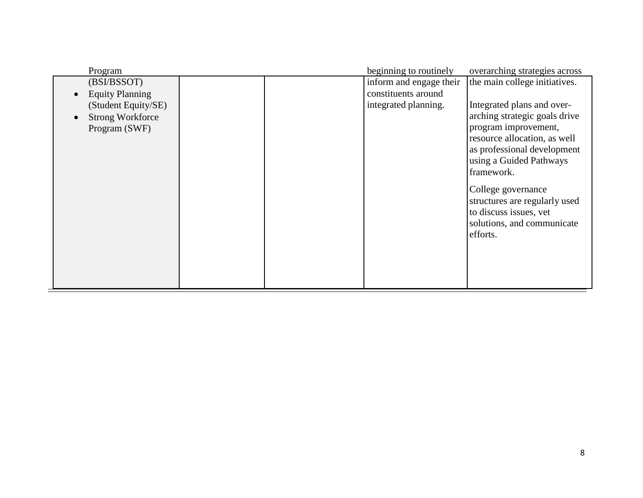| Program                 |  | beginning to routinely  | overarching strategies across |
|-------------------------|--|-------------------------|-------------------------------|
| (BSI/BSSOT)             |  | inform and engage their | the main college initiatives. |
| <b>Equity Planning</b>  |  | constituents around     |                               |
| (Student Equity/SE)     |  | integrated planning.    | Integrated plans and over-    |
| <b>Strong Workforce</b> |  |                         | arching strategic goals drive |
| Program (SWF)           |  |                         | program improvement,          |
|                         |  |                         | resource allocation, as well  |
|                         |  |                         | as professional development   |
|                         |  |                         | using a Guided Pathways       |
|                         |  |                         | framework.                    |
|                         |  |                         | College governance            |
|                         |  |                         | structures are regularly used |
|                         |  |                         | to discuss issues, vet        |
|                         |  |                         | solutions, and communicate    |
|                         |  |                         | efforts.                      |
|                         |  |                         |                               |
|                         |  |                         |                               |
|                         |  |                         |                               |
|                         |  |                         |                               |
|                         |  |                         |                               |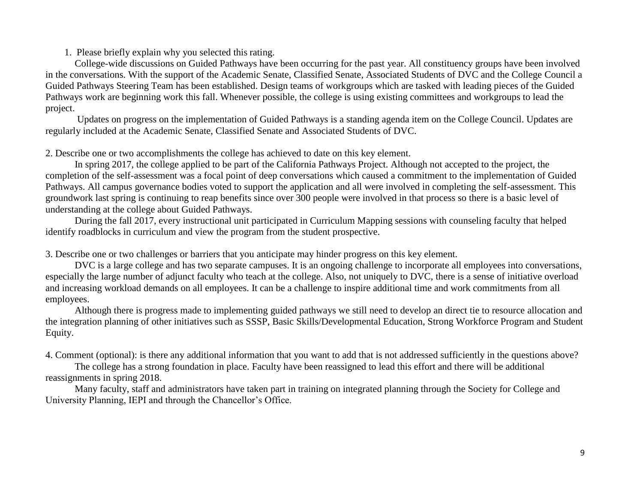College-wide discussions on Guided Pathways have been occurring for the past year. All constituency groups have been involved in the conversations. With the support of the Academic Senate, Classified Senate, Associated Students of DVC and the College Council a Guided Pathways Steering Team has been established. Design teams of workgroups which are tasked with leading pieces of the Guided Pathways work are beginning work this fall. Whenever possible, the college is using existing committees and workgroups to lead the project.

Updates on progress on the implementation of Guided Pathways is a standing agenda item on the College Council. Updates are regularly included at the Academic Senate, Classified Senate and Associated Students of DVC.

2. Describe one or two accomplishments the college has achieved to date on this key element.

In spring 2017, the college applied to be part of the California Pathways Project. Although not accepted to the project, the completion of the self-assessment was a focal point of deep conversations which caused a commitment to the implementation of Guided Pathways. All campus governance bodies voted to support the application and all were involved in completing the self-assessment. This groundwork last spring is continuing to reap benefits since over 300 people were involved in that process so there is a basic level of understanding at the college about Guided Pathways.

During the fall 2017, every instructional unit participated in Curriculum Mapping sessions with counseling faculty that helped identify roadblocks in curriculum and view the program from the student prospective.

3. Describe one or two challenges or barriers that you anticipate may hinder progress on this key element.

DVC is a large college and has two separate campuses. It is an ongoing challenge to incorporate all employees into conversations, especially the large number of adjunct faculty who teach at the college. Also, not uniquely to DVC, there is a sense of initiative overload and increasing workload demands on all employees. It can be a challenge to inspire additional time and work commitments from all employees.

Although there is progress made to implementing guided pathways we still need to develop an direct tie to resource allocation and the integration planning of other initiatives such as SSSP, Basic Skills/Developmental Education, Strong Workforce Program and Student Equity.

4. Comment (optional): is there any additional information that you want to add that is not addressed sufficiently in the questions above?

The college has a strong foundation in place. Faculty have been reassigned to lead this effort and there will be additional reassignments in spring 2018.

Many faculty, staff and administrators have taken part in training on integrated planning through the Society for College and University Planning, IEPI and through the Chancellor's Office.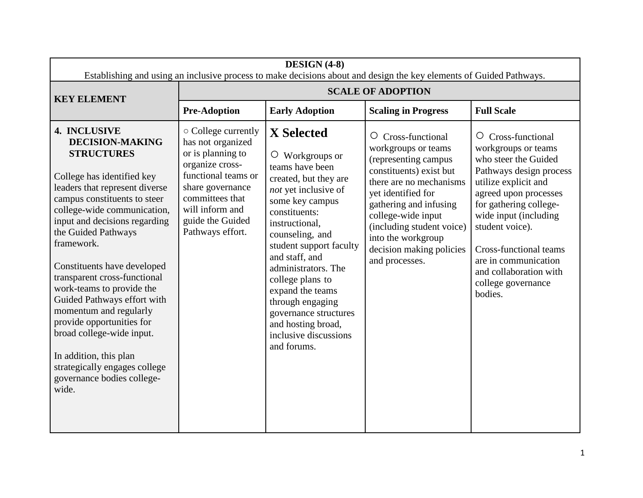| DESIGN $(4-8)$<br>Establishing and using an inclusive process to make decisions about and design the key elements of Guided Pathways.                                                                                                                                                                                                                                                                                                                                                                                                                                             |                                                                                                                                                                                                           |                                                                                                                                                                                                                                                                                                                                                                                                                |                                                                                                                                                                                                                                                                                                      |                                                                                                                                                                                                                                                                                                                                        |
|-----------------------------------------------------------------------------------------------------------------------------------------------------------------------------------------------------------------------------------------------------------------------------------------------------------------------------------------------------------------------------------------------------------------------------------------------------------------------------------------------------------------------------------------------------------------------------------|-----------------------------------------------------------------------------------------------------------------------------------------------------------------------------------------------------------|----------------------------------------------------------------------------------------------------------------------------------------------------------------------------------------------------------------------------------------------------------------------------------------------------------------------------------------------------------------------------------------------------------------|------------------------------------------------------------------------------------------------------------------------------------------------------------------------------------------------------------------------------------------------------------------------------------------------------|----------------------------------------------------------------------------------------------------------------------------------------------------------------------------------------------------------------------------------------------------------------------------------------------------------------------------------------|
| <b>KEY ELEMENT</b>                                                                                                                                                                                                                                                                                                                                                                                                                                                                                                                                                                |                                                                                                                                                                                                           |                                                                                                                                                                                                                                                                                                                                                                                                                | <b>SCALE OF ADOPTION</b>                                                                                                                                                                                                                                                                             |                                                                                                                                                                                                                                                                                                                                        |
|                                                                                                                                                                                                                                                                                                                                                                                                                                                                                                                                                                                   | <b>Pre-Adoption</b>                                                                                                                                                                                       | <b>Early Adoption</b>                                                                                                                                                                                                                                                                                                                                                                                          | <b>Scaling in Progress</b>                                                                                                                                                                                                                                                                           | <b>Full Scale</b>                                                                                                                                                                                                                                                                                                                      |
| 4. INCLUSIVE<br><b>DECISION-MAKING</b><br><b>STRUCTURES</b><br>College has identified key<br>leaders that represent diverse<br>campus constituents to steer<br>college-wide communication,<br>input and decisions regarding<br>the Guided Pathways<br>framework.<br>Constituents have developed<br>transparent cross-functional<br>work-teams to provide the<br>Guided Pathways effort with<br>momentum and regularly<br>provide opportunities for<br>broad college-wide input.<br>In addition, this plan<br>strategically engages college<br>governance bodies college-<br>wide. | ○ College currently<br>has not organized<br>or is planning to<br>organize cross-<br>functional teams or<br>share governance<br>committees that<br>will inform and<br>guide the Guided<br>Pathways effort. | <b>X</b> Selected<br>$\circ$ Workgroups or<br>teams have been<br>created, but they are<br>not yet inclusive of<br>some key campus<br>constituents:<br>instructional,<br>counseling, and<br>student support faculty<br>and staff, and<br>administrators. The<br>college plans to<br>expand the teams<br>through engaging<br>governance structures<br>and hosting broad,<br>inclusive discussions<br>and forums. | $\circ$ Cross-functional<br>workgroups or teams<br>(representing campus<br>constituents) exist but<br>there are no mechanisms<br>yet identified for<br>gathering and infusing<br>college-wide input<br>(including student voice)<br>into the workgroup<br>decision making policies<br>and processes. | $\circ$ Cross-functional<br>workgroups or teams<br>who steer the Guided<br>Pathways design process<br>utilize explicit and<br>agreed upon processes<br>for gathering college-<br>wide input (including<br>student voice).<br>Cross-functional teams<br>are in communication<br>and collaboration with<br>college governance<br>bodies. |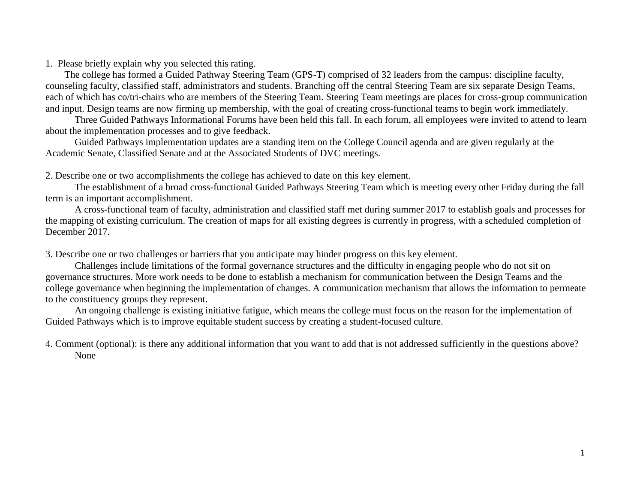The college has formed a Guided Pathway Steering Team (GPS-T) comprised of 32 leaders from the campus: discipline faculty, counseling faculty, classified staff, administrators and students. Branching off the central Steering Team are six separate Design Teams, each of which has co/tri-chairs who are members of the Steering Team. Steering Team meetings are places for cross-group communication and input. Design teams are now firming up membership, with the goal of creating cross-functional teams to begin work immediately.

Three Guided Pathways Informational Forums have been held this fall. In each forum, all employees were invited to attend to learn about the implementation processes and to give feedback.

Guided Pathways implementation updates are a standing item on the College Council agenda and are given regularly at the Academic Senate, Classified Senate and at the Associated Students of DVC meetings.

2. Describe one or two accomplishments the college has achieved to date on this key element.

The establishment of a broad cross-functional Guided Pathways Steering Team which is meeting every other Friday during the fall term is an important accomplishment.

A cross-functional team of faculty, administration and classified staff met during summer 2017 to establish goals and processes for the mapping of existing curriculum. The creation of maps for all existing degrees is currently in progress, with a scheduled completion of December 2017.

3. Describe one or two challenges or barriers that you anticipate may hinder progress on this key element.

Challenges include limitations of the formal governance structures and the difficulty in engaging people who do not sit on governance structures. More work needs to be done to establish a mechanism for communication between the Design Teams and the college governance when beginning the implementation of changes. A communication mechanism that allows the information to permeate to the constituency groups they represent.

An ongoing challenge is existing initiative fatigue, which means the college must focus on the reason for the implementation of Guided Pathways which is to improve equitable student success by creating a student-focused culture.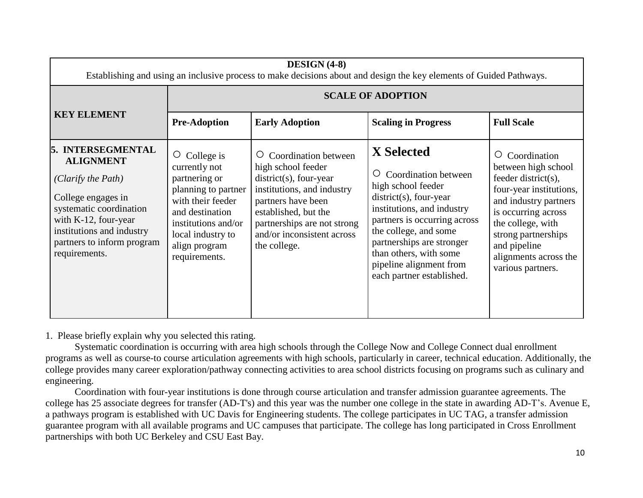| DESIGN (4-8)<br>Establishing and using an inclusive process to make decisions about and design the key elements of Guided Pathways.                                                                                 |                                                                                                                                                                                                |                                                                                                                                                                                                                                              |                                                                                                                                                                                                                                                                                                    |                                                                                                                                                                                                                                                 |
|---------------------------------------------------------------------------------------------------------------------------------------------------------------------------------------------------------------------|------------------------------------------------------------------------------------------------------------------------------------------------------------------------------------------------|----------------------------------------------------------------------------------------------------------------------------------------------------------------------------------------------------------------------------------------------|----------------------------------------------------------------------------------------------------------------------------------------------------------------------------------------------------------------------------------------------------------------------------------------------------|-------------------------------------------------------------------------------------------------------------------------------------------------------------------------------------------------------------------------------------------------|
|                                                                                                                                                                                                                     |                                                                                                                                                                                                |                                                                                                                                                                                                                                              | <b>SCALE OF ADOPTION</b>                                                                                                                                                                                                                                                                           |                                                                                                                                                                                                                                                 |
| <b>KEY ELEMENT</b>                                                                                                                                                                                                  | <b>Pre-Adoption</b>                                                                                                                                                                            | <b>Early Adoption</b>                                                                                                                                                                                                                        | <b>Scaling in Progress</b>                                                                                                                                                                                                                                                                         | <b>Full Scale</b>                                                                                                                                                                                                                               |
| 5. INTERSEGMENTAL<br><b>ALIGNMENT</b><br>(Clarify the Path)<br>College engages in<br>systematic coordination<br>with $K-12$ , four-year<br>institutions and industry<br>partners to inform program<br>requirements. | College is<br>O<br>currently not<br>partnering or<br>planning to partner<br>with their feeder<br>and destination<br>institutions and/or<br>local industry to<br>align program<br>requirements. | <b>Coordination between</b><br>Ő<br>high school feeder<br>$district(s)$ , four-year<br>institutions, and industry<br>partners have been<br>established, but the<br>partnerships are not strong<br>and/or inconsistent across<br>the college. | <b>X</b> Selected<br>Coordination between<br>high school feeder<br>$district(s)$ , four-year<br>institutions, and industry<br>partners is occurring across<br>the college, and some<br>partnerships are stronger<br>than others, with some<br>pipeline alignment from<br>each partner established. | Coordination<br>between high school<br>feeder district(s),<br>four-year institutions,<br>and industry partners<br>is occurring across<br>the college, with<br>strong partnerships<br>and pipeline<br>alignments across the<br>various partners. |

Systematic coordination is occurring with area high schools through the College Now and College Connect dual enrollment programs as well as course-to course articulation agreements with high schools, particularly in career, technical education. Additionally, the college provides many career exploration/pathway connecting activities to area school districts focusing on programs such as culinary and engineering.

Coordination with four-year institutions is done through course articulation and transfer admission guarantee agreements. The college has 25 associate degrees for transfer (AD-T's) and this year was the number one college in the state in awarding AD-T's. Avenue E, a pathways program is established with UC Davis for Engineering students. The college participates in UC TAG, a transfer admission guarantee program with all available programs and UC campuses that participate. The college has long participated in Cross Enrollment partnerships with both UC Berkeley and CSU East Bay.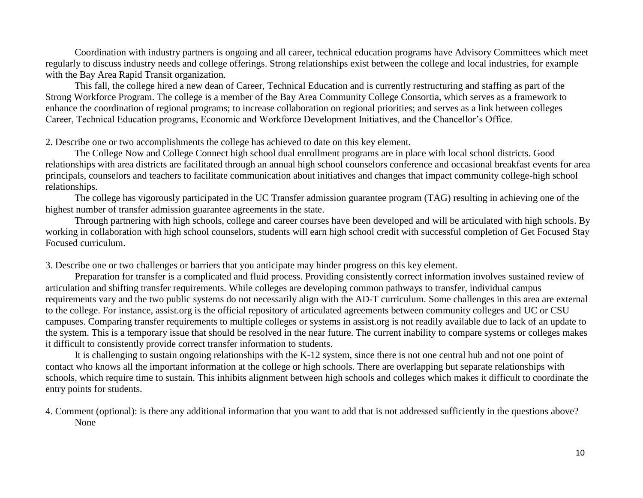Coordination with industry partners is ongoing and all career, technical education programs have Advisory Committees which meet regularly to discuss industry needs and college offerings. Strong relationships exist between the college and local industries, for example with the Bay Area Rapid Transit organization.

This fall, the college hired a new dean of Career, Technical Education and is currently restructuring and staffing as part of the Strong Workforce Program. The college is a member of the Bay Area Community College Consortia, which serves as a framework to enhance the coordination of regional programs; to increase collaboration on regional priorities; and serves as a link between colleges Career, Technical Education programs, Economic and Workforce Development Initiatives, and the Chancellor's Office.

2. Describe one or two accomplishments the college has achieved to date on this key element.

The College Now and College Connect high school dual enrollment programs are in place with local school districts. Good relationships with area districts are facilitated through an annual high school counselors conference and occasional breakfast events for area principals, counselors and teachers to facilitate communication about initiatives and changes that impact community college-high school relationships.

The college has vigorously participated in the UC Transfer admission guarantee program (TAG) resulting in achieving one of the highest number of transfer admission guarantee agreements in the state.

Through partnering with high schools, college and career courses have been developed and will be articulated with high schools. By working in collaboration with high school counselors, students will earn high school credit with successful completion of Get Focused Stay Focused curriculum.

3. Describe one or two challenges or barriers that you anticipate may hinder progress on this key element.

Preparation for transfer is a complicated and fluid process. Providing consistently correct information involves sustained review of articulation and shifting transfer requirements. While colleges are developing common pathways to transfer, individual campus requirements vary and the two public systems do not necessarily align with the AD-T curriculum. Some challenges in this area are external to the college. For instance, assist.org is the official repository of articulated agreements between community colleges and UC or CSU campuses. Comparing transfer requirements to multiple colleges or systems in assist.org is not readily available due to lack of an update to the system. This is a temporary issue that should be resolved in the near future. The current inability to compare systems or colleges makes it difficult to consistently provide correct transfer information to students.

It is challenging to sustain ongoing relationships with the K-12 system, since there is not one central hub and not one point of contact who knows all the important information at the college or high schools. There are overlapping but separate relationships with schools, which require time to sustain. This inhibits alignment between high schools and colleges which makes it difficult to coordinate the entry points for students.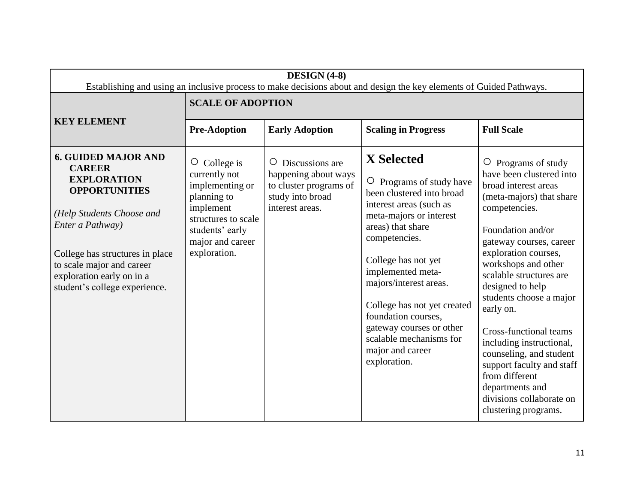| DESIGN (4-8)<br>Establishing and using an inclusive process to make decisions about and design the key elements of Guided Pathways.                                                                                                                                      |                                                                                                                                                                  |                                                                                                                     |                                                                                                                                                                                                                                                                                                                                                                                              |                                                                                                                                                                                                                                                                                                                                                                                                                                                                                                                         |
|--------------------------------------------------------------------------------------------------------------------------------------------------------------------------------------------------------------------------------------------------------------------------|------------------------------------------------------------------------------------------------------------------------------------------------------------------|---------------------------------------------------------------------------------------------------------------------|----------------------------------------------------------------------------------------------------------------------------------------------------------------------------------------------------------------------------------------------------------------------------------------------------------------------------------------------------------------------------------------------|-------------------------------------------------------------------------------------------------------------------------------------------------------------------------------------------------------------------------------------------------------------------------------------------------------------------------------------------------------------------------------------------------------------------------------------------------------------------------------------------------------------------------|
|                                                                                                                                                                                                                                                                          | <b>SCALE OF ADOPTION</b>                                                                                                                                         |                                                                                                                     |                                                                                                                                                                                                                                                                                                                                                                                              |                                                                                                                                                                                                                                                                                                                                                                                                                                                                                                                         |
| <b>KEY ELEMENT</b>                                                                                                                                                                                                                                                       | <b>Pre-Adoption</b>                                                                                                                                              | <b>Early Adoption</b>                                                                                               | <b>Scaling in Progress</b>                                                                                                                                                                                                                                                                                                                                                                   | <b>Full Scale</b>                                                                                                                                                                                                                                                                                                                                                                                                                                                                                                       |
| <b>6. GUIDED MAJOR AND</b><br><b>CAREER</b><br><b>EXPLORATION</b><br><b>OPPORTUNITIES</b><br>(Help Students Choose and<br>Enter a Pathway)<br>College has structures in place<br>to scale major and career<br>exploration early on in a<br>student's college experience. | $\circ$ College is<br>currently not<br>implementing or<br>planning to<br>implement<br>structures to scale<br>students' early<br>major and career<br>exploration. | Discussions are<br>$\circ$<br>happening about ways<br>to cluster programs of<br>study into broad<br>interest areas. | X Selected<br>$\circ$ Programs of study have<br>been clustered into broad<br>interest areas (such as<br>meta-majors or interest<br>areas) that share<br>competencies.<br>College has not yet<br>implemented meta-<br>majors/interest areas.<br>College has not yet created<br>foundation courses,<br>gateway courses or other<br>scalable mechanisms for<br>major and career<br>exploration. | $\circ$ Programs of study<br>have been clustered into<br>broad interest areas<br>(meta-majors) that share<br>competencies.<br>Foundation and/or<br>gateway courses, career<br>exploration courses,<br>workshops and other<br>scalable structures are<br>designed to help<br>students choose a major<br>early on.<br>Cross-functional teams<br>including instructional,<br>counseling, and student<br>support faculty and staff<br>from different<br>departments and<br>divisions collaborate on<br>clustering programs. |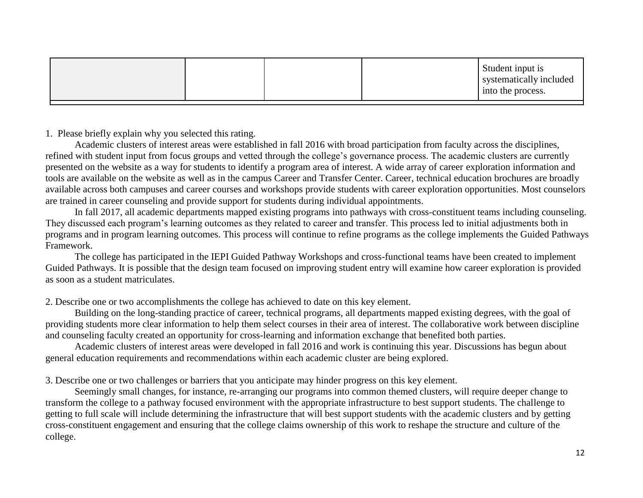|  |  |  | Student input is<br>systematically included<br>into the process. |
|--|--|--|------------------------------------------------------------------|
|--|--|--|------------------------------------------------------------------|

Academic clusters of interest areas were established in fall 2016 with broad participation from faculty across the disciplines, refined with student input from focus groups and vetted through the college's governance process. The academic clusters are currently presented on the website as a way for students to identify a program area of interest. A wide array of career exploration information and tools are available on the website as well as in the campus Career and Transfer Center. Career, technical education brochures are broadly available across both campuses and career courses and workshops provide students with career exploration opportunities. Most counselors are trained in career counseling and provide support for students during individual appointments.

In fall 2017, all academic departments mapped existing programs into pathways with cross-constituent teams including counseling. They discussed each program's learning outcomes as they related to career and transfer. This process led to initial adjustments both in programs and in program learning outcomes. This process will continue to refine programs as the college implements the Guided Pathways Framework.

The college has participated in the IEPI Guided Pathway Workshops and cross-functional teams have been created to implement Guided Pathways. It is possible that the design team focused on improving student entry will examine how career exploration is provided as soon as a student matriculates.

2. Describe one or two accomplishments the college has achieved to date on this key element.

Building on the long-standing practice of career, technical programs, all departments mapped existing degrees, with the goal of providing students more clear information to help them select courses in their area of interest. The collaborative work between discipline and counseling faculty created an opportunity for cross-learning and information exchange that benefited both parties.

Academic clusters of interest areas were developed in fall 2016 and work is continuing this year. Discussions has begun about general education requirements and recommendations within each academic cluster are being explored.

3. Describe one or two challenges or barriers that you anticipate may hinder progress on this key element.

Seemingly small changes, for instance, re-arranging our programs into common themed clusters, will require deeper change to transform the college to a pathway focused environment with the appropriate infrastructure to best support students. The challenge to getting to full scale will include determining the infrastructure that will best support students with the academic clusters and by getting cross-constituent engagement and ensuring that the college claims ownership of this work to reshape the structure and culture of the college.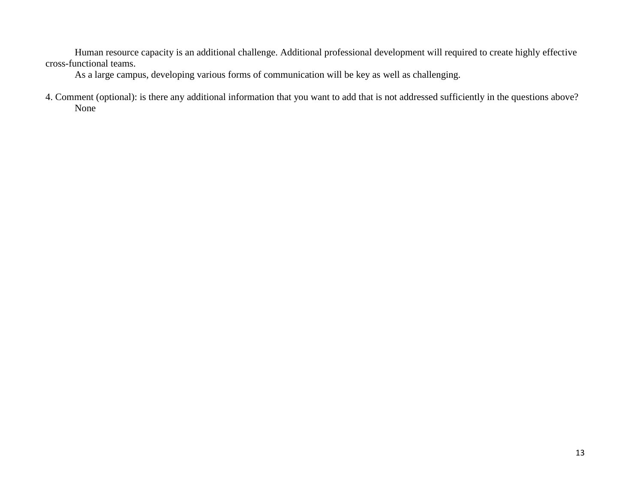Human resource capacity is an additional challenge. Additional professional development will required to create highly effective cross-functional teams.

As a large campus, developing various forms of communication will be key as well as challenging.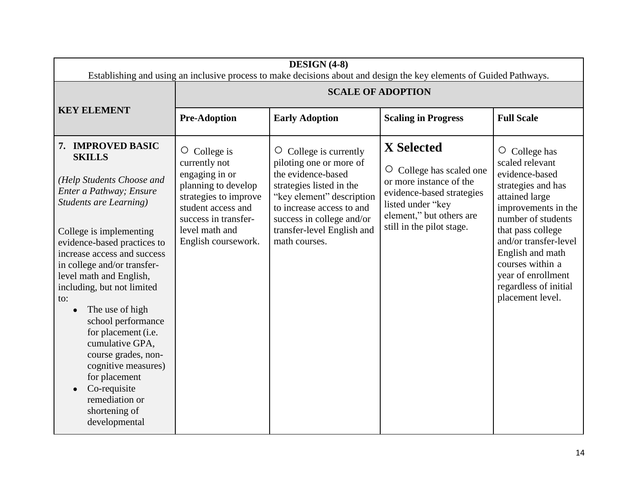| DESIGN (4-8)<br>Establishing and using an inclusive process to make decisions about and design the key elements of Guided Pathways.                                                                                                                                                                                                                                                                                                                                                                                                       |                                                                                                                                                                                              |                                                                                                                                                                                                                                                    |                                                                                                                                                                                     |                                                                                                                                                                                                                                                                                                     |
|-------------------------------------------------------------------------------------------------------------------------------------------------------------------------------------------------------------------------------------------------------------------------------------------------------------------------------------------------------------------------------------------------------------------------------------------------------------------------------------------------------------------------------------------|----------------------------------------------------------------------------------------------------------------------------------------------------------------------------------------------|----------------------------------------------------------------------------------------------------------------------------------------------------------------------------------------------------------------------------------------------------|-------------------------------------------------------------------------------------------------------------------------------------------------------------------------------------|-----------------------------------------------------------------------------------------------------------------------------------------------------------------------------------------------------------------------------------------------------------------------------------------------------|
|                                                                                                                                                                                                                                                                                                                                                                                                                                                                                                                                           |                                                                                                                                                                                              | <b>SCALE OF ADOPTION</b>                                                                                                                                                                                                                           |                                                                                                                                                                                     |                                                                                                                                                                                                                                                                                                     |
| <b>KEY ELEMENT</b>                                                                                                                                                                                                                                                                                                                                                                                                                                                                                                                        | <b>Pre-Adoption</b>                                                                                                                                                                          | <b>Early Adoption</b>                                                                                                                                                                                                                              | <b>Scaling in Progress</b>                                                                                                                                                          | <b>Full Scale</b>                                                                                                                                                                                                                                                                                   |
| 7. IMPROVED BASIC<br><b>SKILLS</b><br>(Help Students Choose and<br>Enter a Pathway; Ensure<br><b>Students are Learning)</b><br>College is implementing<br>evidence-based practices to<br>increase access and success<br>in college and/or transfer-<br>level math and English,<br>including, but not limited<br>to:<br>The use of high<br>school performance<br>for placement (i.e.<br>cumulative GPA,<br>course grades, non-<br>cognitive measures)<br>for placement<br>Co-requisite<br>remediation or<br>shortening of<br>developmental | $\circ$ College is<br>currently not<br>engaging in or<br>planning to develop<br>strategies to improve<br>student access and<br>success in transfer-<br>level math and<br>English coursework. | College is currently<br>$\circ$<br>piloting one or more of<br>the evidence-based<br>strategies listed in the<br>"key element" description<br>to increase access to and<br>success in college and/or<br>transfer-level English and<br>math courses. | <b>X</b> Selected<br>O College has scaled one<br>or more instance of the<br>evidence-based strategies<br>listed under "key<br>element," but others are<br>still in the pilot stage. | O<br>College has<br>scaled relevant<br>evidence-based<br>strategies and has<br>attained large<br>improvements in the<br>number of students<br>that pass college<br>and/or transfer-level<br>English and math<br>courses within a<br>year of enrollment<br>regardless of initial<br>placement level. |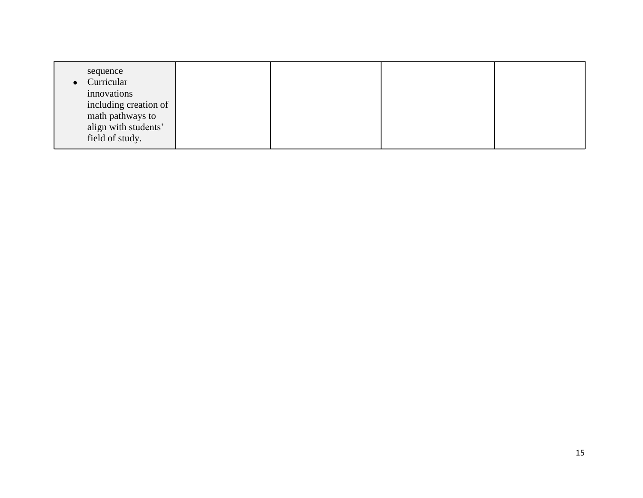| sequence<br>• Curricular<br>innovations<br>including creation of<br>math pathways to<br>align with students'<br>field of study. |  |  |  |  |
|---------------------------------------------------------------------------------------------------------------------------------|--|--|--|--|
|---------------------------------------------------------------------------------------------------------------------------------|--|--|--|--|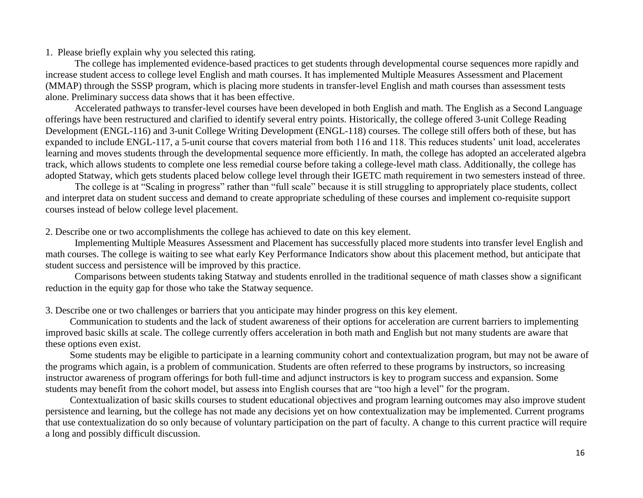The college has implemented evidence-based practices to get students through developmental course sequences more rapidly and increase student access to college level English and math courses. It has implemented Multiple Measures Assessment and Placement (MMAP) through the SSSP program, which is placing more students in transfer-level English and math courses than assessment tests alone. Preliminary success data shows that it has been effective.

Accelerated pathways to transfer-level courses have been developed in both English and math. The English as a Second Language offerings have been restructured and clarified to identify several entry points. Historically, the college offered 3-unit College Reading Development (ENGL-116) and 3-unit College Writing Development (ENGL-118) courses. The college still offers both of these, but has expanded to include ENGL-117, a 5-unit course that covers material from both 116 and 118. This reduces students' unit load, accelerates learning and moves students through the developmental sequence more efficiently. In math, the college has adopted an accelerated algebra track, which allows students to complete one less remedial course before taking a college-level math class. Additionally, the college has adopted Statway, which gets students placed below college level through their IGETC math requirement in two semesters instead of three.

The college is at "Scaling in progress" rather than "full scale" because it is still struggling to appropriately place students, collect and interpret data on student success and demand to create appropriate scheduling of these courses and implement co-requisite support courses instead of below college level placement.

2. Describe one or two accomplishments the college has achieved to date on this key element.

Implementing Multiple Measures Assessment and Placement has successfully placed more students into transfer level English and math courses. The college is waiting to see what early Key Performance Indicators show about this placement method, but anticipate that student success and persistence will be improved by this practice.

Comparisons between students taking Statway and students enrolled in the traditional sequence of math classes show a significant reduction in the equity gap for those who take the Statway sequence.

3. Describe one or two challenges or barriers that you anticipate may hinder progress on this key element.

 Communication to students and the lack of student awareness of their options for acceleration are current barriers to implementing improved basic skills at scale. The college currently offers acceleration in both math and English but not many students are aware that these options even exist.

 Some students may be eligible to participate in a learning community cohort and contextualization program, but may not be aware of the programs which again, is a problem of communication. Students are often referred to these programs by instructors, so increasing instructor awareness of program offerings for both full-time and adjunct instructors is key to program success and expansion. Some students may benefit from the cohort model, but assess into English courses that are "too high a level" for the program.

 Contextualization of basic skills courses to student educational objectives and program learning outcomes may also improve student persistence and learning, but the college has not made any decisions yet on how contextualization may be implemented. Current programs that use contextualization do so only because of voluntary participation on the part of faculty. A change to this current practice will require a long and possibly difficult discussion.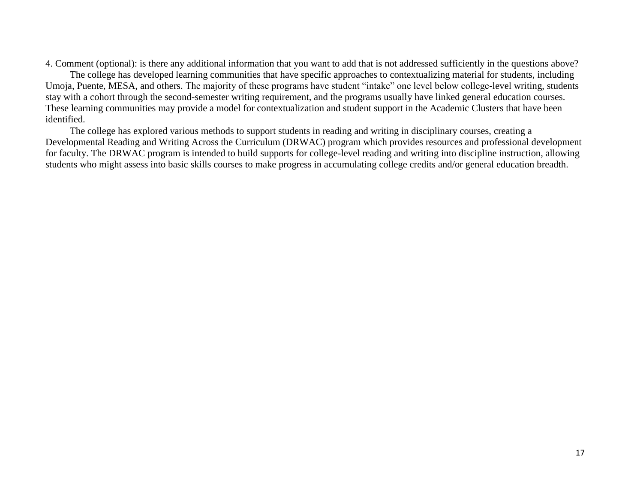4. Comment (optional): is there any additional information that you want to add that is not addressed sufficiently in the questions above?

 The college has developed learning communities that have specific approaches to contextualizing material for students, including Umoja, Puente, MESA, and others. The majority of these programs have student "intake" one level below college-level writing, students stay with a cohort through the second-semester writing requirement, and the programs usually have linked general education courses. These learning communities may provide a model for contextualization and student support in the Academic Clusters that have been identified.

 The college has explored various methods to support students in reading and writing in disciplinary courses, creating a Developmental Reading and Writing Across the Curriculum (DRWAC) program which provides resources and professional development for faculty. The DRWAC program is intended to build supports for college-level reading and writing into discipline instruction, allowing students who might assess into basic skills courses to make progress in accumulating college credits and/or general education breadth.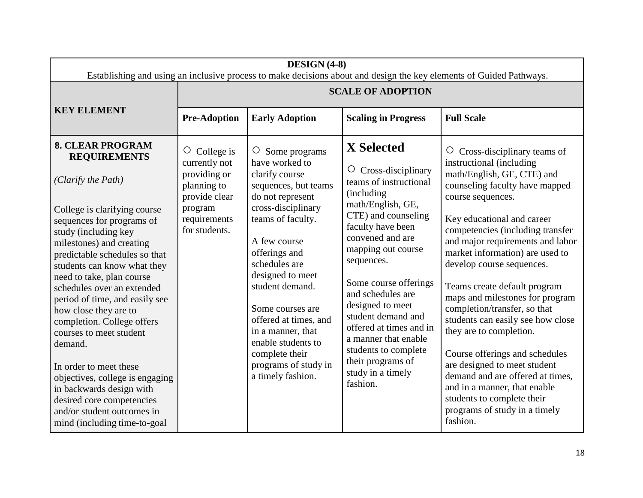| DESIGN (4-8)<br>Establishing and using an inclusive process to make decisions about and design the key elements of Guided Pathways.                                                                                                                                                                                                                                                                                                                                                                                                                                                                                                 |                                                                                                                                 |                                                                                                                                                                                                                                                                                                                                                                                            |                                                                                                                                                                                                                                                                                                                                                                                                                                               |                                                                                                                                                                                                                                                                                                                                                                                                                                                                                                                                                                                                                                                                                                                |  |  |
|-------------------------------------------------------------------------------------------------------------------------------------------------------------------------------------------------------------------------------------------------------------------------------------------------------------------------------------------------------------------------------------------------------------------------------------------------------------------------------------------------------------------------------------------------------------------------------------------------------------------------------------|---------------------------------------------------------------------------------------------------------------------------------|--------------------------------------------------------------------------------------------------------------------------------------------------------------------------------------------------------------------------------------------------------------------------------------------------------------------------------------------------------------------------------------------|-----------------------------------------------------------------------------------------------------------------------------------------------------------------------------------------------------------------------------------------------------------------------------------------------------------------------------------------------------------------------------------------------------------------------------------------------|----------------------------------------------------------------------------------------------------------------------------------------------------------------------------------------------------------------------------------------------------------------------------------------------------------------------------------------------------------------------------------------------------------------------------------------------------------------------------------------------------------------------------------------------------------------------------------------------------------------------------------------------------------------------------------------------------------------|--|--|
|                                                                                                                                                                                                                                                                                                                                                                                                                                                                                                                                                                                                                                     |                                                                                                                                 | <b>SCALE OF ADOPTION</b>                                                                                                                                                                                                                                                                                                                                                                   |                                                                                                                                                                                                                                                                                                                                                                                                                                               |                                                                                                                                                                                                                                                                                                                                                                                                                                                                                                                                                                                                                                                                                                                |  |  |
| <b>KEY ELEMENT</b>                                                                                                                                                                                                                                                                                                                                                                                                                                                                                                                                                                                                                  | <b>Pre-Adoption</b>                                                                                                             | <b>Early Adoption</b>                                                                                                                                                                                                                                                                                                                                                                      | <b>Scaling in Progress</b>                                                                                                                                                                                                                                                                                                                                                                                                                    | <b>Full Scale</b>                                                                                                                                                                                                                                                                                                                                                                                                                                                                                                                                                                                                                                                                                              |  |  |
| <b>8. CLEAR PROGRAM</b><br><b>REQUIREMENTS</b><br>(Clarify the Path)<br>College is clarifying course<br>sequences for programs of<br>study (including key<br>milestones) and creating<br>predictable schedules so that<br>students can know what they<br>need to take, plan course<br>schedules over an extended<br>period of time, and easily see<br>how close they are to<br>completion. College offers<br>courses to meet student<br>demand.<br>In order to meet these<br>objectives, college is engaging<br>in backwards design with<br>desired core competencies<br>and/or student outcomes in<br>mind (including time-to-goal | $\circ$ College is<br>currently not<br>providing or<br>planning to<br>provide clear<br>program<br>requirements<br>for students. | O Some programs<br>have worked to<br>clarify course<br>sequences, but teams<br>do not represent<br>cross-disciplinary<br>teams of faculty.<br>A few course<br>offerings and<br>schedules are<br>designed to meet<br>student demand.<br>Some courses are<br>offered at times, and<br>in a manner, that<br>enable students to<br>complete their<br>programs of study in<br>a timely fashion. | <b>X</b> Selected<br>Cross-disciplinary<br>$\circ$<br>teams of instructional<br>(including)<br>math/English, GE,<br>CTE) and counseling<br>faculty have been<br>convened and are<br>mapping out course<br>sequences.<br>Some course offerings<br>and schedules are<br>designed to meet<br>student demand and<br>offered at times and in<br>a manner that enable<br>students to complete<br>their programs of<br>study in a timely<br>fashion. | $\circ$ Cross-disciplinary teams of<br>instructional (including<br>math/English, GE, CTE) and<br>counseling faculty have mapped<br>course sequences.<br>Key educational and career<br>competencies (including transfer<br>and major requirements and labor<br>market information) are used to<br>develop course sequences.<br>Teams create default program<br>maps and milestones for program<br>completion/transfer, so that<br>students can easily see how close<br>they are to completion.<br>Course offerings and schedules<br>are designed to meet student<br>demand and are offered at times,<br>and in a manner, that enable<br>students to complete their<br>programs of study in a timely<br>fashion. |  |  |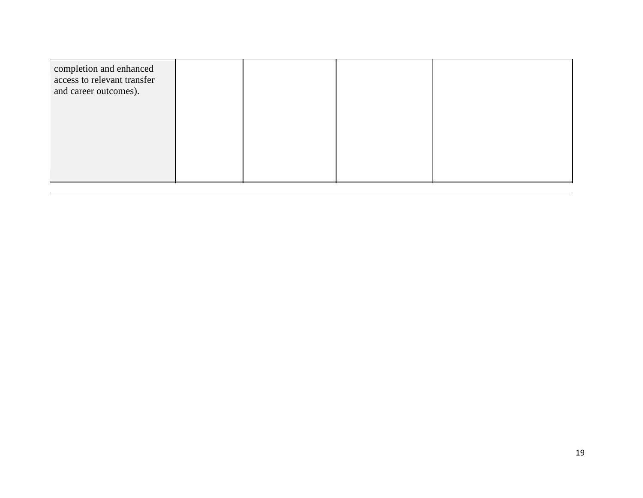| completion and enhanced<br>access to relevant transfer<br>and career outcomes). |  |  |
|---------------------------------------------------------------------------------|--|--|
|                                                                                 |  |  |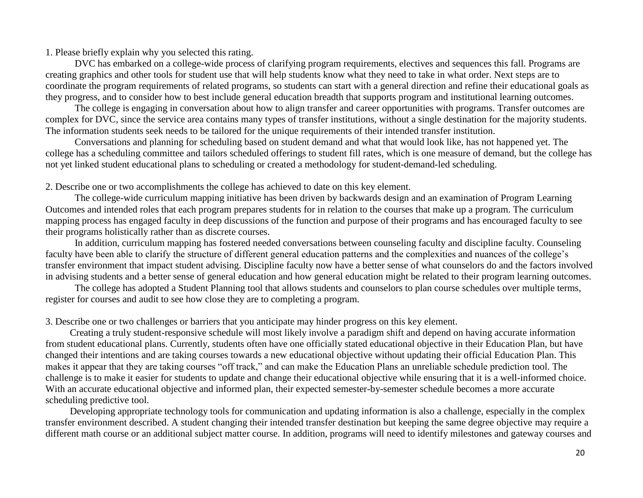DVC has embarked on a college-wide process of clarifying program requirements, electives and sequences this fall. Programs are creating graphics and other tools for student use that will help students know what they need to take in what order. Next steps are to coordinate the program requirements of related programs, so students can start with a general direction and refine their educational goals as they progress, and to consider how to best include general education breadth that supports program and institutional learning outcomes.

The college is engaging in conversation about how to align transfer and career opportunities with programs. Transfer outcomes are complex for DVC, since the service area contains many types of transfer institutions, without a single destination for the majority students. The information students seek needs to be tailored for the unique requirements of their intended transfer institution.

Conversations and planning for scheduling based on student demand and what that would look like, has not happened yet. The college has a scheduling committee and tailors scheduled offerings to student fill rates, which is one measure of demand, but the college has not yet linked student educational plans to scheduling or created a methodology for student-demand-led scheduling.

2. Describe one or two accomplishments the college has achieved to date on this key element.

The college-wide curriculum mapping initiative has been driven by backwards design and an examination of Program Learning Outcomes and intended roles that each program prepares students for in relation to the courses that make up a program. The curriculum mapping process has engaged faculty in deep discussions of the function and purpose of their programs and has encouraged faculty to see their programs holistically rather than as discrete courses.

In addition, curriculum mapping has fostered needed conversations between counseling faculty and discipline faculty. Counseling faculty have been able to clarify the structure of different general education patterns and the complexities and nuances of the college's transfer environment that impact student advising. Discipline faculty now have a better sense of what counselors do and the factors involved in advising students and a better sense of general education and how general education might be related to their program learning outcomes.

The college has adopted a Student Planning tool that allows students and counselors to plan course schedules over multiple terms, register for courses and audit to see how close they are to completing a program.

3. Describe one or two challenges or barriers that you anticipate may hinder progress on this key element.

 Creating a truly student-responsive schedule will most likely involve a paradigm shift and depend on having accurate information from student educational plans. Currently, students often have one officially stated educational objective in their Education Plan, but have changed their intentions and are taking courses towards a new educational objective without updating their official Education Plan. This makes it appear that they are taking courses "off track," and can make the Education Plans an unreliable schedule prediction tool. The challenge is to make it easier for students to update and change their educational objective while ensuring that it is a well-informed choice. With an accurate educational objective and informed plan, their expected semester-by-semester schedule becomes a more accurate scheduling predictive tool.

 Developing appropriate technology tools for communication and updating information is also a challenge, especially in the complex transfer environment described. A student changing their intended transfer destination but keeping the same degree objective may require a different math course or an additional subject matter course. In addition, programs will need to identify milestones and gateway courses and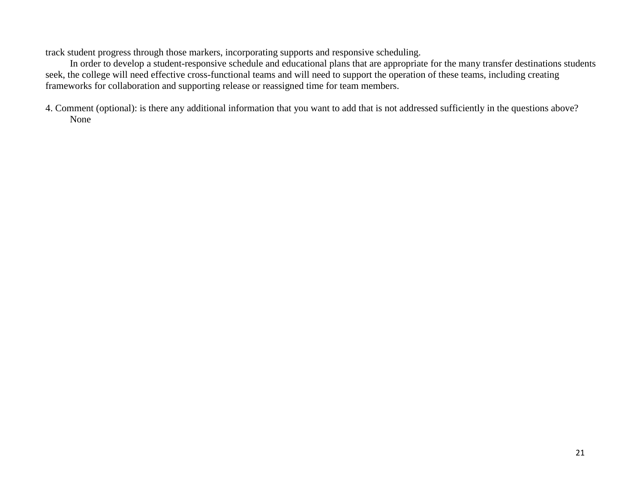track student progress through those markers, incorporating supports and responsive scheduling.

 In order to develop a student-responsive schedule and educational plans that are appropriate for the many transfer destinations students seek, the college will need effective cross-functional teams and will need to support the operation of these teams, including creating frameworks for collaboration and supporting release or reassigned time for team members.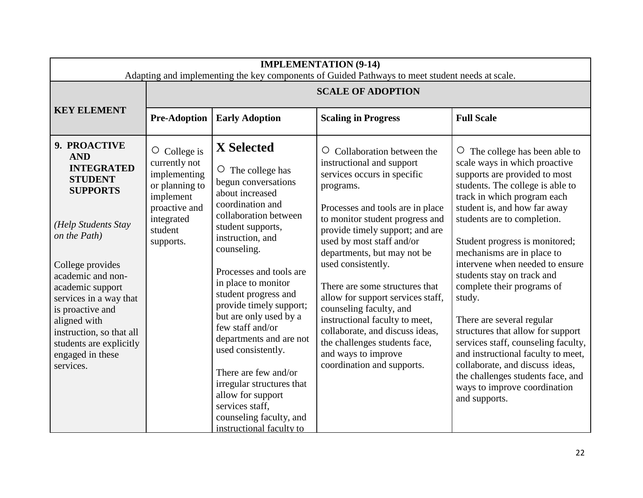| <b>IMPLEMENTATION (9-14)</b><br>Adapting and implementing the key components of Guided Pathways to meet student needs at scale.                                                                                                                                                                                                                |                                                                                                                                              |                                                                                                                                                                                                                                                                                                                                                                                                                                                                                                                                                 |                                                                                                                                                                                                                                                                                                                                                                                                                                                                                                                                                                        |                                                                                                                                                                                                                                                                                                                                                                                                                                                                                                                                                                                                                                                                                        |  |
|------------------------------------------------------------------------------------------------------------------------------------------------------------------------------------------------------------------------------------------------------------------------------------------------------------------------------------------------|----------------------------------------------------------------------------------------------------------------------------------------------|-------------------------------------------------------------------------------------------------------------------------------------------------------------------------------------------------------------------------------------------------------------------------------------------------------------------------------------------------------------------------------------------------------------------------------------------------------------------------------------------------------------------------------------------------|------------------------------------------------------------------------------------------------------------------------------------------------------------------------------------------------------------------------------------------------------------------------------------------------------------------------------------------------------------------------------------------------------------------------------------------------------------------------------------------------------------------------------------------------------------------------|----------------------------------------------------------------------------------------------------------------------------------------------------------------------------------------------------------------------------------------------------------------------------------------------------------------------------------------------------------------------------------------------------------------------------------------------------------------------------------------------------------------------------------------------------------------------------------------------------------------------------------------------------------------------------------------|--|
|                                                                                                                                                                                                                                                                                                                                                | <b>SCALE OF ADOPTION</b>                                                                                                                     |                                                                                                                                                                                                                                                                                                                                                                                                                                                                                                                                                 |                                                                                                                                                                                                                                                                                                                                                                                                                                                                                                                                                                        |                                                                                                                                                                                                                                                                                                                                                                                                                                                                                                                                                                                                                                                                                        |  |
| <b>KEY ELEMENT</b>                                                                                                                                                                                                                                                                                                                             | <b>Pre-Adoption</b>                                                                                                                          | <b>Early Adoption</b>                                                                                                                                                                                                                                                                                                                                                                                                                                                                                                                           | <b>Scaling in Progress</b>                                                                                                                                                                                                                                                                                                                                                                                                                                                                                                                                             | <b>Full Scale</b>                                                                                                                                                                                                                                                                                                                                                                                                                                                                                                                                                                                                                                                                      |  |
| 9. PROACTIVE<br><b>AND</b><br><b>INTEGRATED</b><br><b>STUDENT</b><br><b>SUPPORTS</b><br>(Help Students Stay<br>on the Path)<br>College provides<br>academic and non-<br>academic support<br>services in a way that<br>is proactive and<br>aligned with<br>instruction, so that all<br>students are explicitly<br>engaged in these<br>services. | College is<br>$\circ$<br>currently not<br>implementing<br>or planning to<br>implement<br>proactive and<br>integrated<br>student<br>supports. | X Selected<br>$\circ$<br>The college has<br>begun conversations<br>about increased<br>coordination and<br>collaboration between<br>student supports,<br>instruction, and<br>counseling.<br>Processes and tools are<br>in place to monitor<br>student progress and<br>provide timely support;<br>but are only used by a<br>few staff and/or<br>departments and are not<br>used consistently.<br>There are few and/or<br>irregular structures that<br>allow for support<br>services staff.<br>counseling faculty, and<br>instructional faculty to | Collaboration between the<br>$\circ$<br>instructional and support<br>services occurs in specific<br>programs.<br>Processes and tools are in place<br>to monitor student progress and<br>provide timely support; and are<br>used by most staff and/or<br>departments, but may not be<br>used consistently.<br>There are some structures that<br>allow for support services staff,<br>counseling faculty, and<br>instructional faculty to meet,<br>collaborate, and discuss ideas,<br>the challenges students face,<br>and ways to improve<br>coordination and supports. | The college has been able to<br>O<br>scale ways in which proactive<br>supports are provided to most<br>students. The college is able to<br>track in which program each<br>student is, and how far away<br>students are to completion.<br>Student progress is monitored;<br>mechanisms are in place to<br>intervene when needed to ensure<br>students stay on track and<br>complete their programs of<br>study.<br>There are several regular<br>structures that allow for support<br>services staff, counseling faculty,<br>and instructional faculty to meet,<br>collaborate, and discuss ideas,<br>the challenges students face, and<br>ways to improve coordination<br>and supports. |  |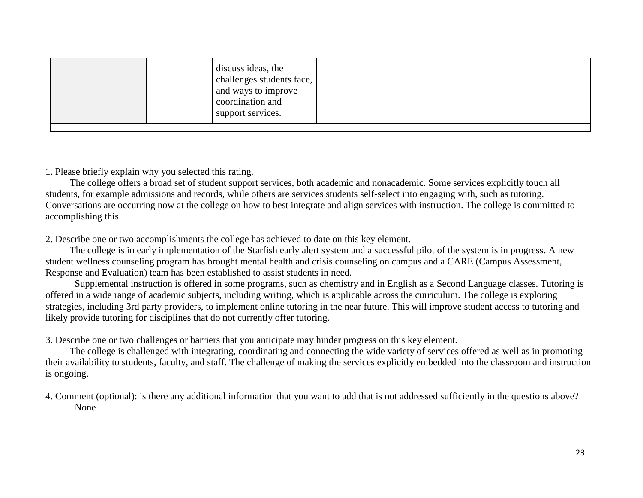|  |  |  | discuss ideas, the<br>challenges students face,<br>and ways to improve<br>coordination and<br>support services. |  |  |
|--|--|--|-----------------------------------------------------------------------------------------------------------------|--|--|
|--|--|--|-----------------------------------------------------------------------------------------------------------------|--|--|

 The college offers a broad set of student support services, both academic and nonacademic. Some services explicitly touch all students, for example admissions and records, while others are services students self-select into engaging with, such as tutoring. Conversations are occurring now at the college on how to best integrate and align services with instruction. The college is committed to accomplishing this.

2. Describe one or two accomplishments the college has achieved to date on this key element.

 The college is in early implementation of the Starfish early alert system and a successful pilot of the system is in progress. A new student wellness counseling program has brought mental health and crisis counseling on campus and a CARE (Campus Assessment, Response and Evaluation) team has been established to assist students in need.

Supplemental instruction is offered in some programs, such as chemistry and in English as a Second Language classes. Tutoring is offered in a wide range of academic subjects, including writing, which is applicable across the curriculum. The college is exploring strategies, including 3rd party providers, to implement online tutoring in the near future. This will improve student access to tutoring and likely provide tutoring for disciplines that do not currently offer tutoring.

3. Describe one or two challenges or barriers that you anticipate may hinder progress on this key element.

 The college is challenged with integrating, coordinating and connecting the wide variety of services offered as well as in promoting their availability to students, faculty, and staff. The challenge of making the services explicitly embedded into the classroom and instruction is ongoing.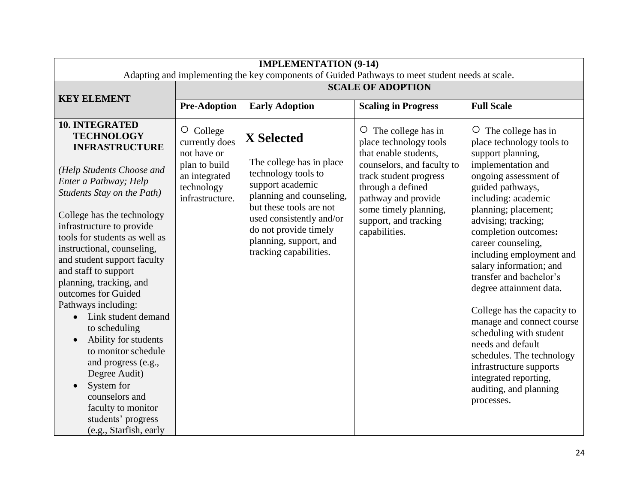| <b>IMPLEMENTATION (9-14)</b><br>Adapting and implementing the key components of Guided Pathways to meet student needs at scale.                                                                                                                                                                                                                                                                                                                                                                          |                                                                 |                                                                                                                                  |                                                                                                  |                                                                                                                                                                                                                                                                                                                                                                                                                                             |  |
|----------------------------------------------------------------------------------------------------------------------------------------------------------------------------------------------------------------------------------------------------------------------------------------------------------------------------------------------------------------------------------------------------------------------------------------------------------------------------------------------------------|-----------------------------------------------------------------|----------------------------------------------------------------------------------------------------------------------------------|--------------------------------------------------------------------------------------------------|---------------------------------------------------------------------------------------------------------------------------------------------------------------------------------------------------------------------------------------------------------------------------------------------------------------------------------------------------------------------------------------------------------------------------------------------|--|
|                                                                                                                                                                                                                                                                                                                                                                                                                                                                                                          |                                                                 |                                                                                                                                  |                                                                                                  |                                                                                                                                                                                                                                                                                                                                                                                                                                             |  |
| <b>KEY ELEMENT</b>                                                                                                                                                                                                                                                                                                                                                                                                                                                                                       | <b>Pre-Adoption</b>                                             | <b>Early Adoption</b>                                                                                                            | <b>Scaling in Progress</b>                                                                       | <b>Full Scale</b>                                                                                                                                                                                                                                                                                                                                                                                                                           |  |
| <b>10. INTEGRATED</b><br><b>TECHNOLOGY</b><br><b>INFRASTRUCTURE</b>                                                                                                                                                                                                                                                                                                                                                                                                                                      | O College<br>currently does<br>not have or                      | <b>X</b> Selected                                                                                                                | $\circ$ The college has in<br>place technology tools<br>that enable students,                    | The college has in<br>$\circ$<br>place technology tools to<br>support planning,                                                                                                                                                                                                                                                                                                                                                             |  |
| (Help Students Choose and<br>Enter a Pathway; Help<br>Students Stay on the Path)                                                                                                                                                                                                                                                                                                                                                                                                                         | plan to build<br>an integrated<br>technology<br>infrastructure. | The college has in place<br>technology tools to<br>support academic<br>planning and counseling,                                  | counselors, and faculty to<br>track student progress<br>through a defined<br>pathway and provide | implementation and<br>ongoing assessment of<br>guided pathways,<br>including: academic                                                                                                                                                                                                                                                                                                                                                      |  |
| College has the technology<br>infrastructure to provide<br>tools for students as well as<br>instructional, counseling,<br>and student support faculty<br>and staff to support<br>planning, tracking, and<br>outcomes for Guided<br>Pathways including:<br>Link student demand<br>$\bullet$<br>to scheduling<br>Ability for students<br>to monitor schedule<br>and progress (e.g.,<br>Degree Audit)<br>System for<br>counselors and<br>faculty to monitor<br>students' progress<br>(e.g., Starfish, early |                                                                 | but these tools are not<br>used consistently and/or<br>do not provide timely<br>planning, support, and<br>tracking capabilities. | some timely planning,<br>support, and tracking<br>capabilities.                                  | planning; placement;<br>advising; tracking;<br>completion outcomes:<br>career counseling,<br>including employment and<br>salary information; and<br>transfer and bachelor's<br>degree attainment data.<br>College has the capacity to<br>manage and connect course<br>scheduling with student<br>needs and default<br>schedules. The technology<br>infrastructure supports<br>integrated reporting,<br>auditing, and planning<br>processes. |  |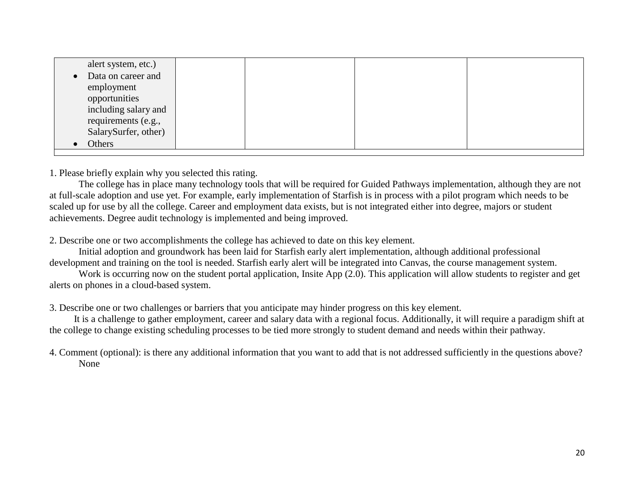|           | alert system, etc.)  |  |  |
|-----------|----------------------|--|--|
| $\bullet$ | Data on career and   |  |  |
|           | employment           |  |  |
|           | opportunities        |  |  |
|           | including salary and |  |  |
|           | requirements (e.g.,  |  |  |
|           | SalarySurfer, other) |  |  |
|           | Others               |  |  |
|           |                      |  |  |

1. Please briefly explain why you selected this rating. 1. Please briefly explain why you selected this rating.

at full-scale adoption and use yet. For example, early implementation of Starfish is in process with a pilot program which needs to be achievements. Degree audit technology is implemented and being improved. The college has in place many technology tools that will be required for Guided Pathways implementation, although they are not scaled up for use by all the college. Career and employment data exists, but is not integrated either into degree, majors or student

2. Describe one or two accomplishments the college has achieved to date on this key element.

Initial adoption and groundwork has been laid for Starfish early alert implementation, although additional professional development and training on the tool is needed. Starfish early alert will be integrated into Canvas, the course management system.

Work is occurring now on the student portal application, Insite App (2.0). This application will allow students to register and get alerts on phones in a cloud-based system.

3. Describe one or two challenges or barriers that you anticipate may hinder progress on this key element.

 It is a challenge to gather employment, career and salary data with a regional focus. Additionally, it will require a paradigm shift at the college to change existing scheduling processes to be tied more strongly to student demand and needs within their pathway.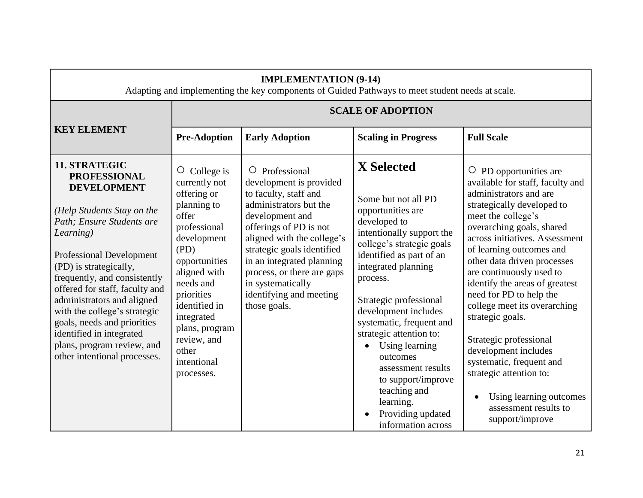|                                                                                                                                                                                                                                                                                                                                                                                                                                                          | <b>IMPLEMENTATION (9-14)</b><br>Adapting and implementing the key components of Guided Pathways to meet student needs at scale.                                                                                                                                                     |                                                                                                                                                                                                                                                                                                                                        |                                                                                                                                                                                                                                                                                                                                                                                                                                                                   |                                                                                                                                                                                                                                                                                                                                                                                                                                                                                                                                                                                                       |  |
|----------------------------------------------------------------------------------------------------------------------------------------------------------------------------------------------------------------------------------------------------------------------------------------------------------------------------------------------------------------------------------------------------------------------------------------------------------|-------------------------------------------------------------------------------------------------------------------------------------------------------------------------------------------------------------------------------------------------------------------------------------|----------------------------------------------------------------------------------------------------------------------------------------------------------------------------------------------------------------------------------------------------------------------------------------------------------------------------------------|-------------------------------------------------------------------------------------------------------------------------------------------------------------------------------------------------------------------------------------------------------------------------------------------------------------------------------------------------------------------------------------------------------------------------------------------------------------------|-------------------------------------------------------------------------------------------------------------------------------------------------------------------------------------------------------------------------------------------------------------------------------------------------------------------------------------------------------------------------------------------------------------------------------------------------------------------------------------------------------------------------------------------------------------------------------------------------------|--|
|                                                                                                                                                                                                                                                                                                                                                                                                                                                          |                                                                                                                                                                                                                                                                                     |                                                                                                                                                                                                                                                                                                                                        | <b>SCALE OF ADOPTION</b>                                                                                                                                                                                                                                                                                                                                                                                                                                          |                                                                                                                                                                                                                                                                                                                                                                                                                                                                                                                                                                                                       |  |
| <b>KEY ELEMENT</b>                                                                                                                                                                                                                                                                                                                                                                                                                                       | <b>Pre-Adoption</b>                                                                                                                                                                                                                                                                 | <b>Early Adoption</b>                                                                                                                                                                                                                                                                                                                  | <b>Scaling in Progress</b>                                                                                                                                                                                                                                                                                                                                                                                                                                        | <b>Full Scale</b>                                                                                                                                                                                                                                                                                                                                                                                                                                                                                                                                                                                     |  |
| 11. STRATEGIC<br><b>PROFESSIONAL</b><br><b>DEVELOPMENT</b><br>(Help Students Stay on the<br>Path; Ensure Students are<br>Learning)<br><b>Professional Development</b><br>(PD) is strategically,<br>frequently, and consistently<br>offered for staff, faculty and<br>administrators and aligned<br>with the college's strategic<br>goals, needs and priorities<br>identified in integrated<br>plans, program review, and<br>other intentional processes. | $\circ$ College is<br>currently not<br>offering or<br>planning to<br>offer<br>professional<br>development<br>(PD)<br>opportunities<br>aligned with<br>needs and<br>priorities<br>identified in<br>integrated<br>plans, program<br>review, and<br>other<br>intentional<br>processes. | $\circ$ Professional<br>development is provided<br>to faculty, staff and<br>administrators but the<br>development and<br>offerings of PD is not<br>aligned with the college's<br>strategic goals identified<br>in an integrated planning<br>process, or there are gaps<br>in systematically<br>identifying and meeting<br>those goals. | <b>X</b> Selected<br>Some but not all PD<br>opportunities are<br>developed to<br>intentionally support the<br>college's strategic goals<br>identified as part of an<br>integrated planning<br>process.<br>Strategic professional<br>development includes<br>systematic, frequent and<br>strategic attention to:<br>Using learning<br>outcomes<br>assessment results<br>to support/improve<br>teaching and<br>learning.<br>Providing updated<br>information across | $\circ$ PD opportunities are<br>available for staff, faculty and<br>administrators and are<br>strategically developed to<br>meet the college's<br>overarching goals, shared<br>across initiatives. Assessment<br>of learning outcomes and<br>other data driven processes<br>are continuously used to<br>identify the areas of greatest<br>need for PD to help the<br>college meet its overarching<br>strategic goals.<br>Strategic professional<br>development includes<br>systematic, frequent and<br>strategic attention to:<br>Using learning outcomes<br>assessment results to<br>support/improve |  |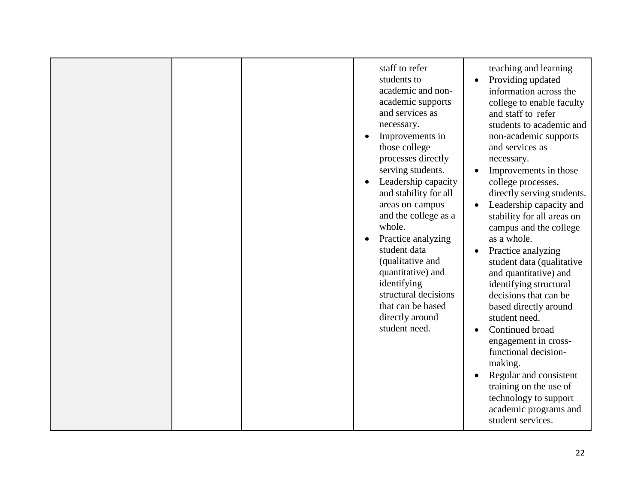| staff to refer<br>students to<br>academic and non-<br>academic supports<br>and services as<br>necessary.<br>Improvements in<br>those college<br>processes directly<br>serving students.<br>Leadership capacity<br>and stability for all<br>areas on campus<br>$\bullet$<br>and the college as a<br>whole.<br>Practice analyzing<br>student data<br>$\bullet$<br>(qualitative and<br>quantitative) and<br>identifying<br>structural decisions<br>that can be based<br>directly around<br>student need.<br>$\bullet$ | teaching and learning<br>Providing updated<br>information across the<br>college to enable faculty<br>and staff to refer<br>students to academic and<br>non-academic supports<br>and services as<br>necessary.<br>Improvements in those<br>college processes.<br>directly serving students.<br>Leadership capacity and<br>stability for all areas on<br>campus and the college<br>as a whole.<br>Practice analyzing<br>student data (qualitative<br>and quantitative) and<br>identifying structural<br>decisions that can be<br>based directly around<br>student need.<br>Continued broad<br>engagement in cross-<br>functional decision-<br>making.<br>Regular and consistent<br>training on the use of<br>technology to support<br>academic programs and<br>student services. |
|--------------------------------------------------------------------------------------------------------------------------------------------------------------------------------------------------------------------------------------------------------------------------------------------------------------------------------------------------------------------------------------------------------------------------------------------------------------------------------------------------------------------|--------------------------------------------------------------------------------------------------------------------------------------------------------------------------------------------------------------------------------------------------------------------------------------------------------------------------------------------------------------------------------------------------------------------------------------------------------------------------------------------------------------------------------------------------------------------------------------------------------------------------------------------------------------------------------------------------------------------------------------------------------------------------------|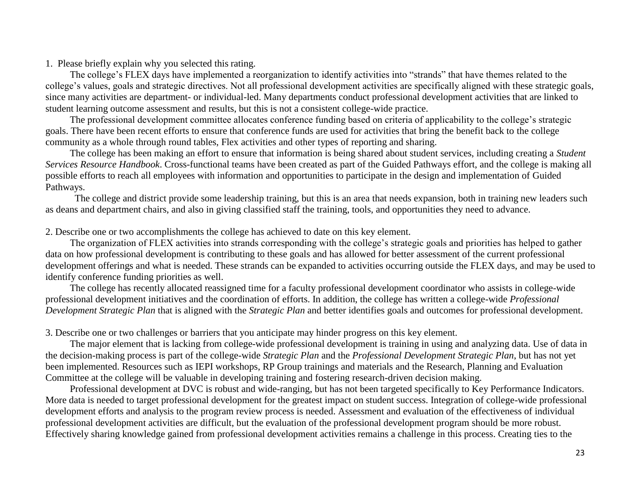The college's FLEX days have implemented a reorganization to identify activities into "strands" that have themes related to the college's values, goals and strategic directives. Not all professional development activities are specifically aligned with these strategic goals, since many activities are department- or individual-led. Many departments conduct professional development activities that are linked to student learning outcome assessment and results, but this is not a consistent college-wide practice.

 The professional development committee allocates conference funding based on criteria of applicability to the college's strategic goals. There have been recent efforts to ensure that conference funds are used for activities that bring the benefit back to the college community as a whole through round tables, Flex activities and other types of reporting and sharing.

 The college has been making an effort to ensure that information is being shared about student services, including creating a *Student Services Resource Handbook*. Cross-functional teams have been created as part of the Guided Pathways effort, and the college is making all possible efforts to reach all employees with information and opportunities to participate in the design and implementation of Guided Pathways.

The college and district provide some leadership training, but this is an area that needs expansion, both in training new leaders such as deans and department chairs, and also in giving classified staff the training, tools, and opportunities they need to advance.

2. Describe one or two accomplishments the college has achieved to date on this key element.

 The organization of FLEX activities into strands corresponding with the college's strategic goals and priorities has helped to gather data on how professional development is contributing to these goals and has allowed for better assessment of the current professional development offerings and what is needed. These strands can be expanded to activities occurring outside the FLEX days, and may be used to identify conference funding priorities as well.

 The college has recently allocated reassigned time for a faculty professional development coordinator who assists in college-wide professional development initiatives and the coordination of efforts. In addition, the college has written a college-wide *Professional Development Strategic Plan* that is aligned with the *Strategic Plan* and better identifies goals and outcomes for professional development.

3. Describe one or two challenges or barriers that you anticipate may hinder progress on this key element.

 The major element that is lacking from college-wide professional development is training in using and analyzing data. Use of data in the decision-making process is part of the college-wide *Strategic Plan* and the *Professional Development Strategic Plan*, but has not yet been implemented. Resources such as IEPI workshops, RP Group trainings and materials and the Research, Planning and Evaluation Committee at the college will be valuable in developing training and fostering research-driven decision making.

 Professional development at DVC is robust and wide-ranging, but has not been targeted specifically to Key Performance Indicators. More data is needed to target professional development for the greatest impact on student success. Integration of college-wide professional development efforts and analysis to the program review process is needed. Assessment and evaluation of the effectiveness of individual professional development activities are difficult, but the evaluation of the professional development program should be more robust. Effectively sharing knowledge gained from professional development activities remains a challenge in this process. Creating ties to the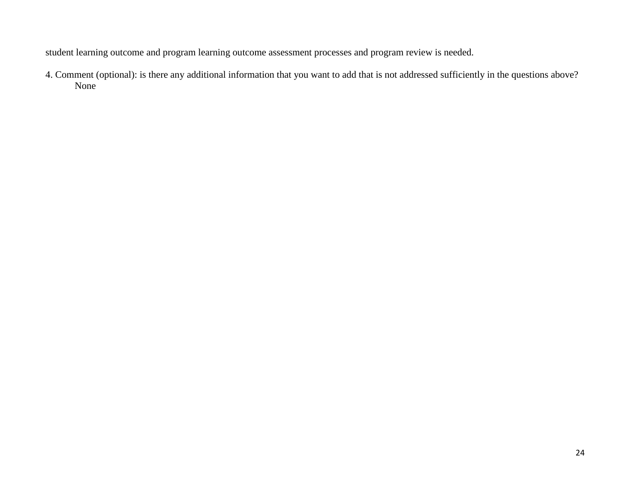student learning outcome and program learning outcome assessment processes and program review is needed.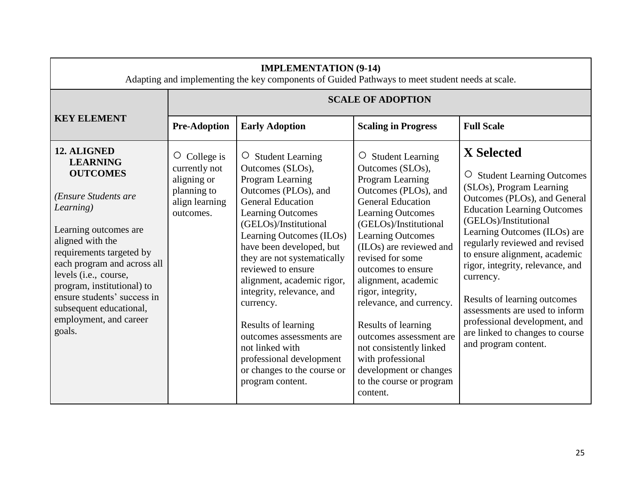| <b>IMPLEMENTATION (9-14)</b><br>Adapting and implementing the key components of Guided Pathways to meet student needs at scale.                                                                                                                                                                                                                     |                                                                                                  |                                                                                                                                                                                                                                                                                                                                                                                                                                                                                                                     |                                                                                                                                                                                                                                                                                                                                                                                                                                                                                                                        |                                                                                                                                                                                                                                                                                                                                                                                                                                                                                                               |
|-----------------------------------------------------------------------------------------------------------------------------------------------------------------------------------------------------------------------------------------------------------------------------------------------------------------------------------------------------|--------------------------------------------------------------------------------------------------|---------------------------------------------------------------------------------------------------------------------------------------------------------------------------------------------------------------------------------------------------------------------------------------------------------------------------------------------------------------------------------------------------------------------------------------------------------------------------------------------------------------------|------------------------------------------------------------------------------------------------------------------------------------------------------------------------------------------------------------------------------------------------------------------------------------------------------------------------------------------------------------------------------------------------------------------------------------------------------------------------------------------------------------------------|---------------------------------------------------------------------------------------------------------------------------------------------------------------------------------------------------------------------------------------------------------------------------------------------------------------------------------------------------------------------------------------------------------------------------------------------------------------------------------------------------------------|
|                                                                                                                                                                                                                                                                                                                                                     |                                                                                                  |                                                                                                                                                                                                                                                                                                                                                                                                                                                                                                                     | <b>SCALE OF ADOPTION</b>                                                                                                                                                                                                                                                                                                                                                                                                                                                                                               |                                                                                                                                                                                                                                                                                                                                                                                                                                                                                                               |
| <b>KEY ELEMENT</b>                                                                                                                                                                                                                                                                                                                                  | <b>Pre-Adoption</b>                                                                              | <b>Early Adoption</b>                                                                                                                                                                                                                                                                                                                                                                                                                                                                                               | <b>Scaling in Progress</b>                                                                                                                                                                                                                                                                                                                                                                                                                                                                                             | <b>Full Scale</b>                                                                                                                                                                                                                                                                                                                                                                                                                                                                                             |
| 12. ALIGNED<br><b>LEARNING</b><br><b>OUTCOMES</b><br>(Ensure Students are<br>Learning)<br>Learning outcomes are<br>aligned with the<br>requirements targeted by<br>each program and across all<br>levels (i.e., course,<br>program, institutional) to<br>ensure students' success in<br>subsequent educational,<br>employment, and career<br>goals. | $\circ$ College is<br>currently not<br>aligning or<br>planning to<br>align learning<br>outcomes. | $\circ$ Student Learning<br>Outcomes (SLOs),<br>Program Learning<br>Outcomes (PLOs), and<br><b>General Education</b><br><b>Learning Outcomes</b><br>(GELOs)/Institutional<br>Learning Outcomes (ILOs)<br>have been developed, but<br>they are not systematically<br>reviewed to ensure<br>alignment, academic rigor,<br>integrity, relevance, and<br>currency.<br>Results of learning<br>outcomes assessments are<br>not linked with<br>professional development<br>or changes to the course or<br>program content. | $\circ$ Student Learning<br>Outcomes (SLOs),<br>Program Learning<br>Outcomes (PLOs), and<br><b>General Education</b><br><b>Learning Outcomes</b><br>(GELOs)/Institutional<br><b>Learning Outcomes</b><br>(ILOs) are reviewed and<br>revised for some<br>outcomes to ensure<br>alignment, academic<br>rigor, integrity,<br>relevance, and currency.<br>Results of learning<br>outcomes assessment are<br>not consistently linked<br>with professional<br>development or changes<br>to the course or program<br>content. | <b>X</b> Selected<br><b>Student Learning Outcomes</b><br>$\circ$<br>(SLOs), Program Learning<br>Outcomes (PLOs), and General<br><b>Education Learning Outcomes</b><br>(GELOs)/Institutional<br>Learning Outcomes (ILOs) are<br>regularly reviewed and revised<br>to ensure alignment, academic<br>rigor, integrity, relevance, and<br>currency.<br>Results of learning outcomes<br>assessments are used to inform<br>professional development, and<br>are linked to changes to course<br>and program content. |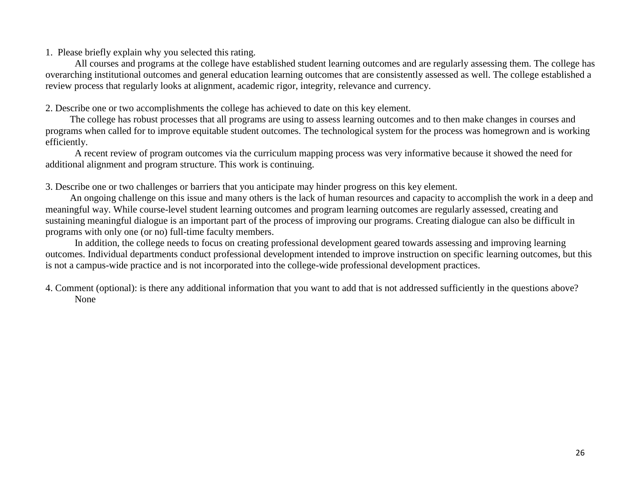All courses and programs at the college have established student learning outcomes and are regularly assessing them. The college has overarching institutional outcomes and general education learning outcomes that are consistently assessed as well. The college established a review process that regularly looks at alignment, academic rigor, integrity, relevance and currency.

2. Describe one or two accomplishments the college has achieved to date on this key element.

 The college has robust processes that all programs are using to assess learning outcomes and to then make changes in courses and programs when called for to improve equitable student outcomes. The technological system for the process was homegrown and is working efficiently.

A recent review of program outcomes via the curriculum mapping process was very informative because it showed the need for additional alignment and program structure. This work is continuing.

3. Describe one or two challenges or barriers that you anticipate may hinder progress on this key element.

 An ongoing challenge on this issue and many others is the lack of human resources and capacity to accomplish the work in a deep and meaningful way. While course-level student learning outcomes and program learning outcomes are regularly assessed, creating and sustaining meaningful dialogue is an important part of the process of improving our programs. Creating dialogue can also be difficult in programs with only one (or no) full-time faculty members.

In addition, the college needs to focus on creating professional development geared towards assessing and improving learning outcomes. Individual departments conduct professional development intended to improve instruction on specific learning outcomes, but this is not a campus-wide practice and is not incorporated into the college-wide professional development practices.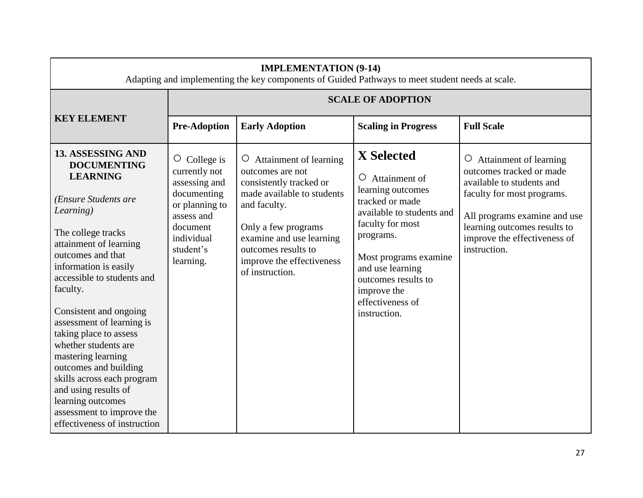|                                                                                                                                                                                                                                                                                                                                                                                                                                                                                                                                         | <b>IMPLEMENTATION (9-14)</b><br>Adapting and implementing the key components of Guided Pathways to meet student needs at scale.                            |                                                                                                                                                                                                                                                 |                                                                                                                                                                                                                                                                         |                                                                                                                                                                                                                                       |  |
|-----------------------------------------------------------------------------------------------------------------------------------------------------------------------------------------------------------------------------------------------------------------------------------------------------------------------------------------------------------------------------------------------------------------------------------------------------------------------------------------------------------------------------------------|------------------------------------------------------------------------------------------------------------------------------------------------------------|-------------------------------------------------------------------------------------------------------------------------------------------------------------------------------------------------------------------------------------------------|-------------------------------------------------------------------------------------------------------------------------------------------------------------------------------------------------------------------------------------------------------------------------|---------------------------------------------------------------------------------------------------------------------------------------------------------------------------------------------------------------------------------------|--|
|                                                                                                                                                                                                                                                                                                                                                                                                                                                                                                                                         |                                                                                                                                                            |                                                                                                                                                                                                                                                 | <b>SCALE OF ADOPTION</b>                                                                                                                                                                                                                                                |                                                                                                                                                                                                                                       |  |
| <b>KEY ELEMENT</b>                                                                                                                                                                                                                                                                                                                                                                                                                                                                                                                      | <b>Pre-Adoption</b>                                                                                                                                        | <b>Early Adoption</b>                                                                                                                                                                                                                           | <b>Scaling in Progress</b>                                                                                                                                                                                                                                              | <b>Full Scale</b>                                                                                                                                                                                                                     |  |
| 13. ASSESSING AND<br><b>DOCUMENTING</b><br><b>LEARNING</b><br>(Ensure Students are<br>Learning)<br>The college tracks<br>attainment of learning<br>outcomes and that<br>information is easily<br>accessible to students and<br>faculty.<br>Consistent and ongoing<br>assessment of learning is<br>taking place to assess<br>whether students are<br>mastering learning<br>outcomes and building<br>skills across each program<br>and using results of<br>learning outcomes<br>assessment to improve the<br>effectiveness of instruction | College is<br>$\circ$<br>currently not<br>assessing and<br>documenting<br>or planning to<br>assess and<br>document<br>individual<br>student's<br>learning. | O Attainment of learning<br>outcomes are not<br>consistently tracked or<br>made available to students<br>and faculty.<br>Only a few programs<br>examine and use learning<br>outcomes results to<br>improve the effectiveness<br>of instruction. | <b>X</b> Selected<br>$\circ$ Attainment of<br>learning outcomes<br>tracked or made<br>available to students and<br>faculty for most<br>programs.<br>Most programs examine<br>and use learning<br>outcomes results to<br>improve the<br>effectiveness of<br>instruction. | $\circ$ Attainment of learning<br>outcomes tracked or made<br>available to students and<br>faculty for most programs.<br>All programs examine and use<br>learning outcomes results to<br>improve the effectiveness of<br>instruction. |  |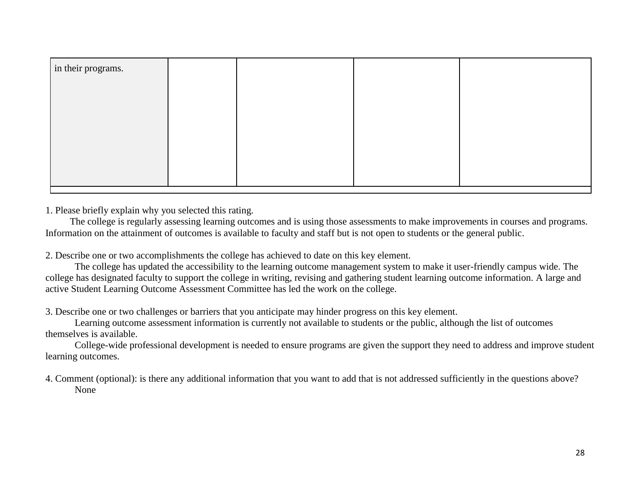| in their programs. |  |  |
|--------------------|--|--|
|                    |  |  |
|                    |  |  |
|                    |  |  |
|                    |  |  |
|                    |  |  |
|                    |  |  |

 The college is regularly assessing learning outcomes and is using those assessments to make improvements in courses and programs. Information on the attainment of outcomes is available to faculty and staff but is not open to students or the general public.

2. Describe one or two accomplishments the college has achieved to date on this key element.

The college has updated the accessibility to the learning outcome management system to make it user-friendly campus wide. The college has designated faculty to support the college in writing, revising and gathering student learning outcome information. A large and active Student Learning Outcome Assessment Committee has led the work on the college.

3. Describe one or two challenges or barriers that you anticipate may hinder progress on this key element.

Learning outcome assessment information is currently not available to students or the public, although the list of outcomes themselves is available.

College-wide professional development is needed to ensure programs are given the support they need to address and improve student learning outcomes.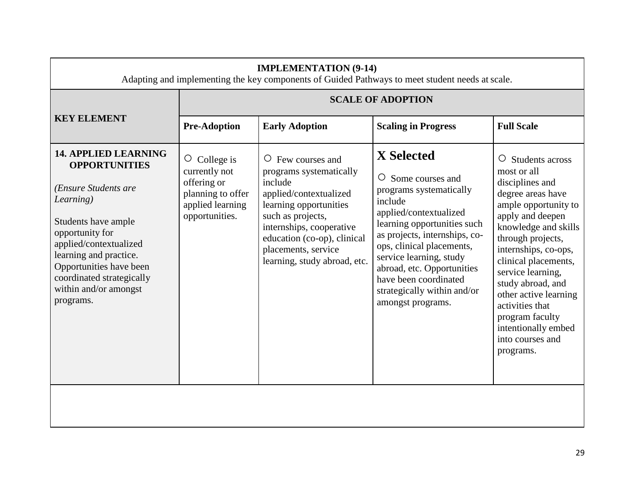| <b>IMPLEMENTATION (9-14)</b><br>Adapting and implementing the key components of Guided Pathways to meet student needs at scale.                                                                                                                                                      |                                                                                                               |                                                                                                                                                                                                                                                          |                                                                                                                                                                                                                                                                                                                                     |                                                                                                                                                                                                                                                                                                                                                                                       |
|--------------------------------------------------------------------------------------------------------------------------------------------------------------------------------------------------------------------------------------------------------------------------------------|---------------------------------------------------------------------------------------------------------------|----------------------------------------------------------------------------------------------------------------------------------------------------------------------------------------------------------------------------------------------------------|-------------------------------------------------------------------------------------------------------------------------------------------------------------------------------------------------------------------------------------------------------------------------------------------------------------------------------------|---------------------------------------------------------------------------------------------------------------------------------------------------------------------------------------------------------------------------------------------------------------------------------------------------------------------------------------------------------------------------------------|
|                                                                                                                                                                                                                                                                                      |                                                                                                               |                                                                                                                                                                                                                                                          | <b>SCALE OF ADOPTION</b>                                                                                                                                                                                                                                                                                                            |                                                                                                                                                                                                                                                                                                                                                                                       |
| <b>KEY ELEMENT</b>                                                                                                                                                                                                                                                                   | <b>Pre-Adoption</b>                                                                                           | <b>Early Adoption</b>                                                                                                                                                                                                                                    | <b>Scaling in Progress</b>                                                                                                                                                                                                                                                                                                          | <b>Full Scale</b>                                                                                                                                                                                                                                                                                                                                                                     |
| <b>14. APPLIED LEARNING</b><br><b>OPPORTUNITIES</b><br>(Ensure Students are<br>Learning)<br>Students have ample<br>opportunity for<br>applied/contextualized<br>learning and practice.<br>Opportunities have been<br>coordinated strategically<br>within and/or amongst<br>programs. | $\circ$ College is<br>currently not<br>offering or<br>planning to offer<br>applied learning<br>opportunities. | $\circ$ Few courses and<br>programs systematically<br>include<br>applied/contextualized<br>learning opportunities<br>such as projects,<br>internships, cooperative<br>education (co-op), clinical<br>placements, service<br>learning, study abroad, etc. | X Selected<br>O Some courses and<br>programs systematically<br>include<br>applied/contextualized<br>learning opportunities such<br>as projects, internships, co-<br>ops, clinical placements,<br>service learning, study<br>abroad, etc. Opportunities<br>have been coordinated<br>strategically within and/or<br>amongst programs. | Students across<br>O<br>most or all<br>disciplines and<br>degree areas have<br>ample opportunity to<br>apply and deepen<br>knowledge and skills<br>through projects,<br>internships, co-ops,<br>clinical placements,<br>service learning,<br>study abroad, and<br>other active learning<br>activities that<br>program faculty<br>intentionally embed<br>into courses and<br>programs. |
|                                                                                                                                                                                                                                                                                      |                                                                                                               |                                                                                                                                                                                                                                                          |                                                                                                                                                                                                                                                                                                                                     |                                                                                                                                                                                                                                                                                                                                                                                       |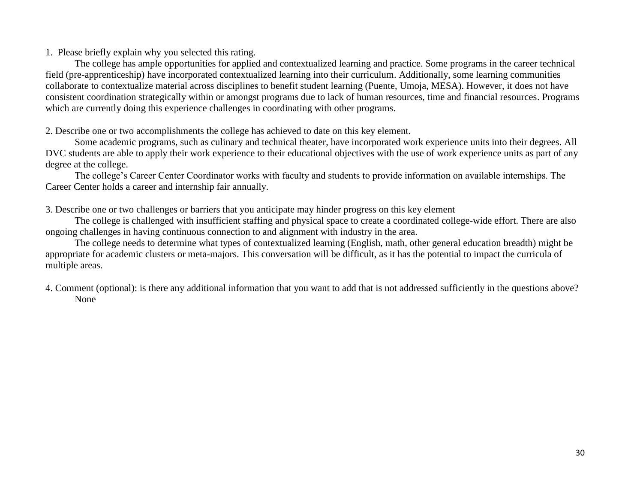The college has ample opportunities for applied and contextualized learning and practice. Some programs in the career technical field (pre-apprenticeship) have incorporated contextualized learning into their curriculum. Additionally, some learning communities collaborate to contextualize material across disciplines to benefit student learning (Puente, Umoja, MESA). However, it does not have consistent coordination strategically within or amongst programs due to lack of human resources, time and financial resources. Programs which are currently doing this experience challenges in coordinating with other programs.

2. Describe one or two accomplishments the college has achieved to date on this key element.

Some academic programs, such as culinary and technical theater, have incorporated work experience units into their degrees. All DVC students are able to apply their work experience to their educational objectives with the use of work experience units as part of any degree at the college.

The college's Career Center Coordinator works with faculty and students to provide information on available internships. The Career Center holds a career and internship fair annually.

3. Describe one or two challenges or barriers that you anticipate may hinder progress on this key element

The college is challenged with insufficient staffing and physical space to create a coordinated college-wide effort. There are also ongoing challenges in having continuous connection to and alignment with industry in the area.

The college needs to determine what types of contextualized learning (English, math, other general education breadth) might be appropriate for academic clusters or meta-majors. This conversation will be difficult, as it has the potential to impact the curricula of multiple areas.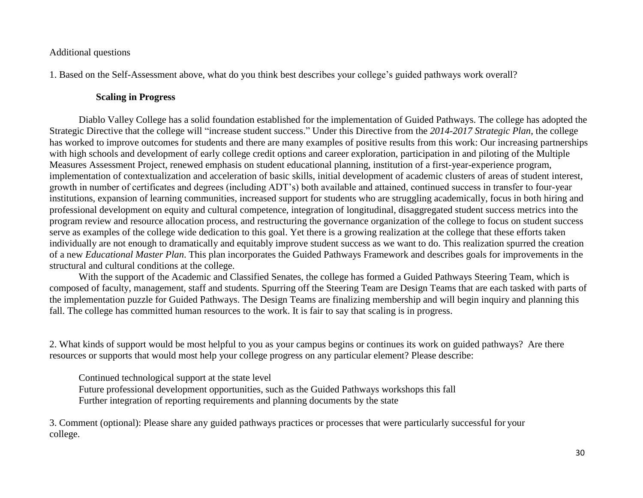#### Additional questions

1. Based on the Self-Assessment above, what do you think best describes your college's guided pathways work overall?

#### **Scaling in Progress**

Diablo Valley College has a solid foundation established for the implementation of Guided Pathways. The college has adopted the Strategic Directive that the college will "increase student success." Under this Directive from the *2014-2017 Strategic Plan*, the college has worked to improve outcomes for students and there are many examples of positive results from this work: Our increasing partnerships with high schools and development of early college credit options and career exploration, participation in and piloting of the Multiple Measures Assessment Project, renewed emphasis on student educational planning, institution of a first-year-experience program, implementation of contextualization and acceleration of basic skills, initial development of academic clusters of areas of student interest, growth in number of certificates and degrees (including ADT's) both available and attained, continued success in transfer to four-year institutions, expansion of learning communities, increased support for students who are struggling academically, focus in both hiring and professional development on equity and cultural competence, integration of longitudinal, disaggregated student success metrics into the program review and resource allocation process, and restructuring the governance organization of the college to focus on student success serve as examples of the college wide dedication to this goal. Yet there is a growing realization at the college that these efforts taken individually are not enough to dramatically and equitably improve student success as we want to do. This realization spurred the creation of a new *Educational Master Plan*. This plan incorporates the Guided Pathways Framework and describes goals for improvements in the structural and cultural conditions at the college.

With the support of the Academic and Classified Senates, the college has formed a Guided Pathways Steering Team, which is composed of faculty, management, staff and students. Spurring off the Steering Team are Design Teams that are each tasked with parts of the implementation puzzle for Guided Pathways. The Design Teams are finalizing membership and will begin inquiry and planning this fall. The college has committed human resources to the work. It is fair to say that scaling is in progress.

2. What kinds of support would be most helpful to you as your campus begins or continues its work on guided pathways? Are there resources or supports that would most help your college progress on any particular element? Please describe:

Continued technological support at the state level Future professional development opportunities, such as the Guided Pathways workshops this fall Further integration of reporting requirements and planning documents by the state

3. Comment (optional): Please share any guided pathways practices or processes that were particularly successful for your college.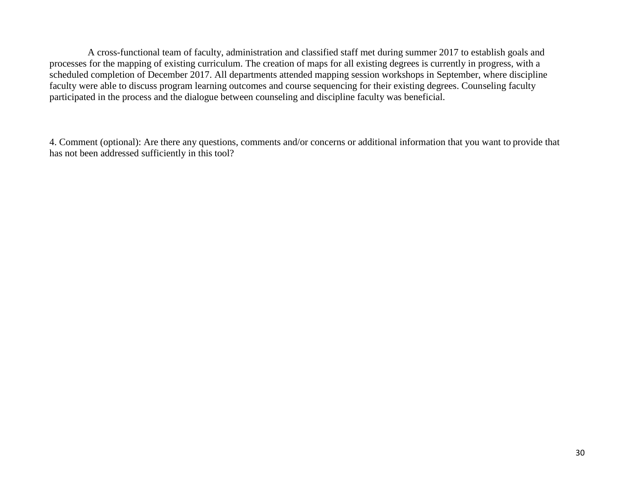A cross-functional team of faculty, administration and classified staff met during summer 2017 to establish goals and processes for the mapping of existing curriculum. The creation of maps for all existing degrees is currently in progress, with a scheduled completion of December 2017. All departments attended mapping session workshops in September, where discipline faculty were able to discuss program learning outcomes and course sequencing for their existing degrees. Counseling faculty participated in the process and the dialogue between counseling and discipline faculty was beneficial.

4. Comment (optional): Are there any questions, comments and/or concerns or additional information that you want to provide that has not been addressed sufficiently in this tool?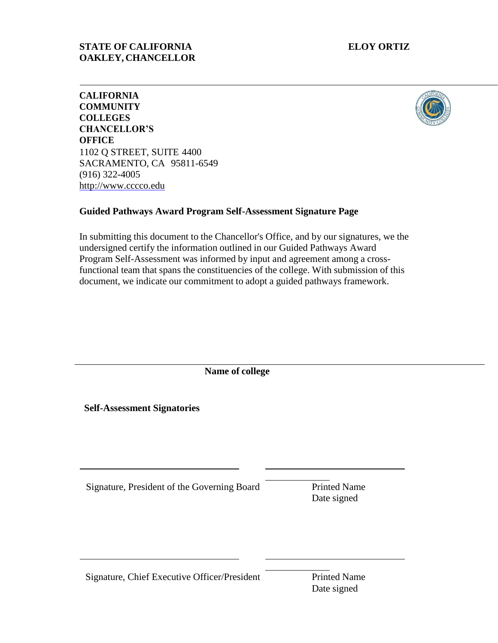### **STATE OF CALIFORNIA ELOY ORTIZ OAKLEY, CHANCELLOR**



**CALIFORNIA COMMUNITY COLLEGES CHANCELLOR'S OFFICE** 1102 Q STREET, SUITE 4400 SACRAMENTO, CA 95811-6549 (916) 322-4005 [http://www.cccco.edu](http://www.cccco.edu/)

## **Guided Pathways Award Program Self-Assessment Signature Page**

In submitting this document to the Chancellor's Office, and by our signatures, we the undersigned certify the information outlined in our Guided Pathways Award Program Self-Assessment was informed by input and agreement among a crossfunctional team that spans the constituencies of the college. With submission of this document, we indicate our commitment to adopt a guided pathways framework.

**Name of college**

**Self-Assessment Signatories**

Signature, President of the Governing Board Printed Name

Date signed

Signature, Chief Executive Officer/President Printed Name

Date signed